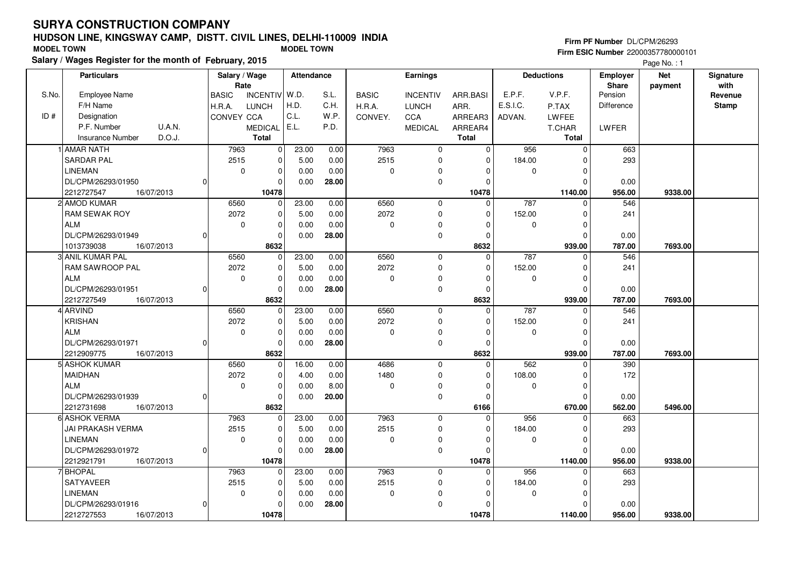## **HUDSON LINE, KINGSWAY CAMP, DISTT. CIVIL LINES, DELHI-110009 INDIASalary / Wages Register for the month of February, 2015 MODEL TOWN MODEL TOWN**

#### **Firm PF Number** DL/CPM/26293

|       | Salary / wages Register for the month of February, 2015 |                                 |                               |              |                 |              |             |                   |                   | Page No.: 1 |              |
|-------|---------------------------------------------------------|---------------------------------|-------------------------------|--------------|-----------------|--------------|-------------|-------------------|-------------------|-------------|--------------|
|       | <b>Particulars</b>                                      | Salary / Wage                   | <b>Attendance</b>             |              | Earnings        |              |             | <b>Deductions</b> | <b>Employer</b>   | <b>Net</b>  | Signature    |
|       |                                                         | Rate                            |                               |              |                 |              |             |                   | <b>Share</b>      | payment     | with         |
| S.No. | Employee Name                                           | <b>BASIC</b><br><b>INCENTIV</b> | W.D.<br>S.L.                  | <b>BASIC</b> | <b>INCENTIV</b> | ARR.BASI     | E.P.F.      | V.P.F.            | Pension           |             | Revenue      |
|       | F/H Name                                                | H.R.A.<br><b>LUNCH</b>          | H.D.<br>C.H.                  | H.R.A.       | <b>LUNCH</b>    | ARR.         | E.S.I.C.    | P.TAX             | <b>Difference</b> |             | <b>Stamp</b> |
| ID#   | Designation                                             | CONVEY CCA                      | C.L.<br>W.P.                  | CONVEY.      | <b>CCA</b>      | ARREAR3      | ADVAN.      | <b>LWFEE</b>      |                   |             |              |
|       | P.F. Number<br>U.A.N.                                   | <b>MEDICAL</b>                  | E.L.<br>P.D.                  |              | <b>MEDICAL</b>  | ARREAR4      |             | T.CHAR            | LWFER             |             |              |
|       | D.O.J.<br><b>Insurance Number</b>                       | <b>Total</b>                    |                               |              |                 | <b>Total</b> |             | <b>Total</b>      |                   |             |              |
|       | 1 AMAR NATH                                             | 7963                            | 23.00<br>0.00<br>$\mathbf 0$  | 7963         | $\mathbf 0$     | $\Omega$     | 956         | $\mathbf 0$       | 663               |             |              |
|       | <b>SARDAR PAL</b>                                       | 2515                            | 0.00<br>$\Omega$<br>5.00      | 2515         | $\Omega$        | $\Omega$     | 184.00      | $\Omega$          | 293               |             |              |
|       | <b>LINEMAN</b>                                          | $\mathbf 0$                     | 0.00<br>0.00<br>0             | 0            | 0               | $\Omega$     | $\mathbf 0$ | $\mathbf 0$       |                   |             |              |
|       | DL/CPM/26293/01950<br><sup>0</sup>                      |                                 | 0.00<br>28.00<br>0            |              | $\mathbf 0$     | O            |             | $\mathbf 0$       | 0.00              |             |              |
|       | 2212727547<br>16/07/2013                                | 10478                           |                               |              |                 | 10478        |             | 1140.00           | 956.00            | 9338.00     |              |
|       | 2 AMOD KUMAR                                            | 6560                            | 23.00<br>0.00<br>$\Omega$     | 6560         | $\mathbf 0$     | $\Omega$     | 787         | $\Omega$          | 546               |             |              |
|       | RAM SEWAK ROY                                           | 2072                            | 0.00<br>0<br>5.00             | 2072         | $\mathbf 0$     | $\Omega$     | 152.00      | $\mathbf 0$       | 241               |             |              |
|       | <b>ALM</b>                                              | $\mathbf 0$                     | 0.00<br>0<br>0.00             | 0            | 0               | 0            | 0           | $\mathbf 0$       |                   |             |              |
|       | DL/CPM/26293/01949<br><sup>0</sup>                      |                                 | $\mathbf{0}$<br>0.00<br>28.00 |              | $\mathbf 0$     | $\Omega$     |             | $\mathbf 0$       | 0.00              |             |              |
|       | 1013739038<br>16/07/2013                                | 8632                            |                               |              |                 | 8632         |             | 939.00            | 787.00            | 7693.00     |              |
|       | 3 ANIL KUMAR PAL                                        | 6560                            | 23.00<br>0.00<br>0            | 6560         | $\mathbf 0$     | $\Omega$     | 787         | $\mathbf 0$       | 546               |             |              |
|       | RAM SAWROOP PAL                                         | 2072                            | 0<br>0.00<br>5.00             | 2072         | 0               | $\Omega$     | 152.00      | $\mathbf 0$       | 241               |             |              |
|       | <b>ALM</b>                                              | $\mathbf 0$                     | $\mathbf 0$<br>0.00<br>0.00   | $\mathbf 0$  | $\mathbf 0$     | $\Omega$     | $\Omega$    | $\mathbf 0$       |                   |             |              |
|       | DL/CPM/26293/01951                                      |                                 | 28.00<br>$\mathbf 0$<br>0.00  |              | $\mathbf 0$     | $\Omega$     |             | $\Omega$          | 0.00              |             |              |
|       | 2212727549<br>16/07/2013                                | 8632                            |                               |              |                 | 8632         |             | 939.00            | 787.00            | 7693.00     |              |
|       | 4 ARVIND                                                | 6560                            | 23.00<br>0.00<br>$\mathbf 0$  | 6560         | $\mathbf 0$     | $\Omega$     | 787         | $\mathbf 0$       | 546               |             |              |
|       | <b>KRISHAN</b>                                          | 2072                            | $\mathbf 0$<br>5.00<br>0.00   | 2072         | $\mathbf 0$     | $\Omega$     | 152.00      | $\mathbf 0$       | 241               |             |              |
|       | <b>ALM</b>                                              | $\mathbf 0$                     | 0.00<br>$\mathbf 0$<br>0.00   | $\mathbf 0$  | 0               | $\Omega$     | $\mathbf 0$ | $\mathbf 0$       |                   |             |              |
|       | DL/CPM/26293/01971<br>$\Omega$                          |                                 | 28.00<br>$\Omega$<br>0.00     |              | $\mathbf 0$     | $\Omega$     |             | $\Omega$          | 0.00              |             |              |
|       | 2212909775<br>16/07/2013                                | 8632                            |                               |              |                 | 8632         |             | 939.00            | 787.00            | 7693.00     |              |
|       | 5 ASHOK KUMAR                                           | 6560                            | 16.00<br>$\mathbf 0$<br>0.00  | 4686         | $\mathbf 0$     | $\Omega$     | 562         | $\mathbf 0$       | 390               |             |              |
|       | <b>MAIDHAN</b>                                          | 2072                            | 0<br>4.00<br>0.00             | 1480         | 0               | $\Omega$     | 108.00      | 0                 | 172               |             |              |
|       | <b>ALM</b>                                              | $\mathbf 0$                     | 8.00<br>$\mathbf 0$<br>0.00   | $\mathbf 0$  | 0               | O            | 0           | $\Omega$          |                   |             |              |
|       | DL/CPM/26293/01939<br><sup>0</sup>                      |                                 | 20.00<br>$\mathbf 0$<br>0.00  |              | $\mathbf 0$     | 0            |             | $\Omega$          | 0.00              |             |              |
|       | 16/07/2013<br>2212731698                                | 8632                            |                               |              |                 | 6166         |             | 670.00            | 562.00            | 5496.00     |              |
|       | 6 ASHOK VERMA                                           | 7963                            | 23.00<br>0.00<br>0            | 7963         | $\mathbf 0$     | $\Omega$     | 956         | $\mathbf 0$       | 663               |             |              |
|       | JAI PRAKASH VERMA                                       | 2515                            | $\mathbf 0$<br>0.00<br>5.00   | 2515         | $\Omega$        | $\Omega$     | 184.00      | $\Omega$          | 293               |             |              |
|       | <b>LINEMAN</b>                                          | $\mathbf 0$                     | $\mathbf 0$<br>0.00<br>0.00   | $\mathbf 0$  | $\mathbf 0$     | $\Omega$     | 0           | $\mathbf 0$       |                   |             |              |
|       | DL/CPM/26293/01972                                      |                                 | 28.00<br>$\mathbf 0$<br>0.00  |              | $\mathbf 0$     | O            |             | $\Omega$          | 0.00              |             |              |
|       | 2212921791<br>16/07/2013                                | 10478                           |                               |              |                 | 10478        |             | 1140.00           | 956.00            | 9338.00     |              |
|       | 7 BHOPAL                                                | 7963                            | 23.00<br>$\mathbf 0$<br>0.00  | 7963         | $\Omega$        | $\Omega$     | 956         | $\Omega$          | 663               |             |              |
|       | SATYAVEER                                               | 2515                            | 5.00<br>0.00<br>$\mathbf 0$   | 2515         | $\mathbf 0$     | $\Omega$     | 184.00      | $\mathbf 0$       | 293               |             |              |
|       | <b>LINEMAN</b>                                          | $\mathbf 0$                     | 0.00<br>0.00<br>0             | 0            | 0               | O            | 0           | 0                 |                   |             |              |
|       | DL/CPM/26293/01916                                      |                                 | 28.00<br>$\Omega$<br>0.00     |              | $\mathbf 0$     |              |             | $\Omega$          | 0.00              |             |              |
|       | 2212727553<br>16/07/2013                                | 10478                           |                               |              |                 | 10478        |             | 1140.00           | 956.00            | 9338.00     |              |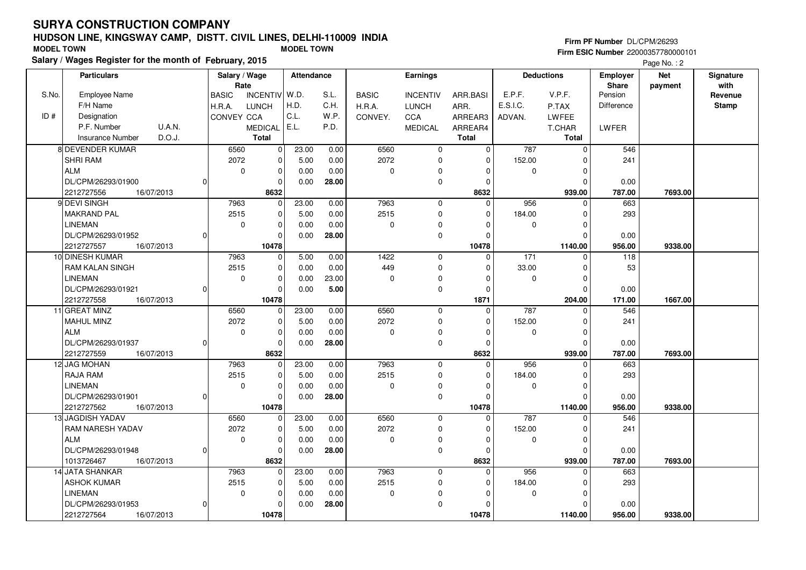# **HUDSON LINE, KINGSWAY CAMP, DISTT. CIVIL LINES, DELHI-110009 INDIA**

| <b>MODEL TOWN</b> | השטטוז בווזב, ומוזטטזיות ו טאון , טוטו ו. טוזוב בווזבט, טבבוור ו וטעט ווזטה<br>Salary / Wages Register for the month of February, 2015 |        |             |                       | <b>MODEL TOWN</b> |      |              |                 |          |          |                   | Firm PF Number DL/CPM/26293     | <b>Firm ESIC Number 22000357780000101</b><br>Page No.: 2 |                   |
|-------------------|----------------------------------------------------------------------------------------------------------------------------------------|--------|-------------|-----------------------|-------------------|------|--------------|-----------------|----------|----------|-------------------|---------------------------------|----------------------------------------------------------|-------------------|
|                   | <b>Particulars</b>                                                                                                                     |        |             | Salary / Wage<br>Rate | Attendance        |      |              | Earnings        |          |          | <b>Deductions</b> | <b>Employer</b><br><b>Share</b> | <b>Net</b><br>payment                                    | Signature<br>with |
| S.No.             | Employee Name                                                                                                                          |        | l BASIC     | INCENTIV W.D.         |                   | S.L. | <b>BASIC</b> | <b>INCENTIV</b> | ARR.BASI | E.P.F.   | V.P.F.            | Pension                         |                                                          | Revenue           |
|                   | F/H Name                                                                                                                               |        | H.R.A.      | LUNCH                 | H.D.              | C.H. | H.R.A.       | <b>LUNCH</b>    | ARR.     | E.S.I.C. | P.TAX             | Difference                      |                                                          | Stamp             |
| ID#               | Designation                                                                                                                            |        | ICONVEY CCA |                       | ' C.L.            | W.P. | CONVEY.      | <b>CCA</b>      | ARREAR3  | ADVAN.   | <b>LWFEE</b>      |                                 |                                                          |                   |
|                   | P.F. Number                                                                                                                            | U.A.N. |             | <b>MEDICAL</b>        | E.L.              | P.D. |              | <b>MEDICAL</b>  | ARREAR4  |          | T.CHAR            | <b>LWFER</b>                    |                                                          |                   |
|                   | Insurance Number                                                                                                                       | D.O.J. |             | Total                 |                   |      |              |                 | Total    |          | Total             |                                 |                                                          |                   |
|                   | 8 DEVENDER KUMAR                                                                                                                       |        | 6560        |                       | 23.00             | 0.00 | 6560         |                 |          | 787      |                   | 546                             |                                                          |                   |

| P.F. Number<br>U.A.N.          | MEDICAL   E.L.   |       | P.D.  |             | <b>MEDICAL</b> | ARREAR4      |          | T.CHAR       | <b>LWFER</b> |         |  |
|--------------------------------|------------------|-------|-------|-------------|----------------|--------------|----------|--------------|--------------|---------|--|
| D.O.J.<br>Insurance Number     | <b>Total</b>     |       |       |             |                | Total        |          | Total        |              |         |  |
| 8 DEVENDER KUMAR               | 6560<br>$\Omega$ | 23.00 | 0.00  | 6560        | 0              | 0            | 787      | 0            | 546          |         |  |
| <b>SHRI RAM</b>                | 2072<br>$\Omega$ | 5.00  | 0.00  | 2072        | 0              | $\mathbf 0$  | 152.00   |              | 241          |         |  |
| <b>ALM</b>                     | 0                | 0.00  | 0.00  | $\mathbf 0$ | 0              | $\mathbf 0$  | $\Omega$ | $\Omega$     |              |         |  |
| DL/CPM/26293/01900<br>$\Omega$ |                  | 0.00  | 28.00 |             | 0              | $\Omega$     |          |              | 0.00         |         |  |
| 2212727556<br>16/07/2013       | 8632             |       |       |             |                | 8632         |          | 939.00       | 787.00       | 7693.00 |  |
| 9 DEVI SINGH                   | 7963<br>$\Omega$ | 23.00 | 0.00  | 7963        | $\mathbf{0}$   | $\Omega$     | 956      |              | 663          |         |  |
| <b>MAKRAND PAL</b>             | 2515<br>$\Omega$ | 5.00  | 0.00  | 2515        | 0              | $\Omega$     | 184.00   |              | 293          |         |  |
| <b>LINEMAN</b>                 | 0                | 0.00  | 0.00  | $\mathbf 0$ | 0              | $\Omega$     | $\Omega$ | $\Omega$     |              |         |  |
| DL/CPM/26293/01952<br> 0       |                  | 0.00  | 28.00 |             | 0              | $\Omega$     |          |              | 0.00         |         |  |
| 2212727557<br>16/07/2013       | 10478            |       |       |             |                | 10478        |          | 1140.00      | 956.00       | 9338.00 |  |
| 10 DINESH KUMAR                | 7963<br>ŋ        | 5.00  | 0.00  | 1422        | $\mathbf{0}$   | $\mathbf 0$  | 171      |              | 118          |         |  |
| <b>RAM KALAN SINGH</b>         | 2515             | 0.00  | 0.00  | 449         | 0              | $\Omega$     | 33.00    |              | 53           |         |  |
| <b>LINEMAN</b>                 | $\mathbf 0$      | 0.00  | 23.00 | $\mathbf 0$ | 0              | $\Omega$     | $\Omega$ |              |              |         |  |
| DL/CPM/26293/01921<br>$\Omega$ |                  | 0.00  | 5.00  |             | 0              | $\Omega$     |          |              | 0.00         |         |  |
| 2212727558<br>16/07/2013       | 10478            |       |       |             |                | 1871         |          | 204.00       | 171.00       | 1667.00 |  |
| 11 GREAT MINZ                  | 6560             | 23.00 | 0.00  | 6560        | $\mathbf 0$    | $\Omega$     | 787      |              | 546          |         |  |
| <b>MAHUL MINZ</b>              | 2072<br>O        | 5.00  | 0.00  | 2072        | 0              | $\Omega$     | 152.00   | $\Omega$     | 241          |         |  |
| <b>ALM</b>                     | $\Omega$         | 0.00  | 0.00  | $\Omega$    | 0              | $\mathbf 0$  | $\Omega$ | $\Omega$     |              |         |  |
| DL/CPM/26293/01937<br> 0       |                  | 0.00  | 28.00 |             | 0              | $\mathbf 0$  |          | $\Omega$     | 0.00         |         |  |
| 2212727559<br>16/07/2013       | 8632             |       |       |             |                | 8632         |          | 939.00       | 787.00       | 7693.00 |  |
| 12 JAG MOHAN                   | 7963<br>$\Omega$ | 23.00 | 0.00  | 7963        | $\mathbf{0}$   | $\mathbf 0$  | 956      |              | 663          |         |  |
| <b>RAJA RAM</b>                | 2515             | 5.00  | 0.00  | 2515        | 0              | $\mathbf 0$  | 184.00   |              | 293          |         |  |
| <b>LINEMAN</b>                 | $\Omega$         | 0.00  | 0.00  | $\Omega$    | 0              | $\Omega$     | $\Omega$ |              |              |         |  |
| DL/CPM/26293/01901<br>$\Omega$ |                  | 0.00  | 28.00 |             | 0              | $\Omega$     |          |              | 0.00         |         |  |
| 2212727562<br>16/07/2013       | 10478            |       |       |             |                | 10478        |          | 1140.00      | 956.00       | 9338.00 |  |
| 13 JAGDISH YADAV               | 6560             | 23.00 | 0.00  | 6560        | 0              | $\mathbf 0$  | 787      | ŋ            | 546          |         |  |
| <b>RAM NARESH YADAV</b>        | 2072             | 5.00  | 0.00  | 2072        | 0              | $\Omega$     | 152.00   |              | 241          |         |  |
| <b>ALM</b>                     | 0                | 0.00  | 0.00  | 0           | 0              | $\Omega$     | $\Omega$ | <sup>0</sup> |              |         |  |
| DL/CPM/26293/01948<br>$\Omega$ |                  | 0.00  | 28.00 |             | 0              | $\Omega$     |          |              | 0.00         |         |  |
| 1013726467<br>16/07/2013       | 8632             |       |       |             |                | 8632         |          | 939.00       | 787.00       | 7693.00 |  |
| 14 JATA SHANKAR                | 7963<br>$\Omega$ | 23.00 | 0.00  | 7963        | $\mathbf 0$    | $\mathbf{0}$ | 956      |              | 663          |         |  |
| <b>ASHOK KUMAR</b>             | 2515             | 5.00  | 0.00  | 2515        | 0              | $\mathbf 0$  | 184.00   |              | 293          |         |  |
| <b>LINEMAN</b>                 | $\Omega$         | 0.00  | 0.00  | $\Omega$    | $\Omega$       | $\Omega$     | $\Omega$ |              |              |         |  |
| DL/CPM/26293/01953<br>$\Omega$ |                  | 0.00  | 28.00 |             | 0              | $\Omega$     |          |              | 0.00         |         |  |
| 2212727564<br>16/07/2013       | 10478            |       |       |             |                | 10478        |          | 1140.00      | 956.00       | 9338.00 |  |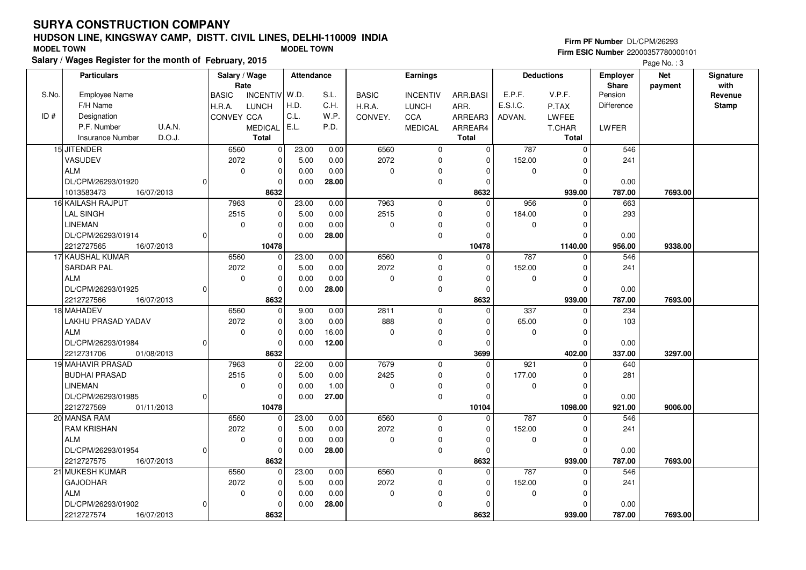## **HUDSON LINE, KINGSWAY CAMP, DISTT. CIVIL LINES, DELHI-110009 INDIASalary / Wages Register for the month of February, 2015 MODEL TOWN MODEL TOWN**

#### **Firm PF Number** DL/CPM/26293

|       | Salary / wages Register for the month of February, 2015 |                               |                      |       |              |                 |              |             |                   |                   | Page No.: 3 |              |
|-------|---------------------------------------------------------|-------------------------------|----------------------|-------|--------------|-----------------|--------------|-------------|-------------------|-------------------|-------------|--------------|
|       | <b>Particulars</b>                                      | Salary / Wage                 | <b>Attendance</b>    |       |              | Earnings        |              |             | <b>Deductions</b> | <b>Employer</b>   | <b>Net</b>  | Signature    |
|       |                                                         | Rate                          |                      |       |              |                 |              |             |                   | <b>Share</b>      | payment     | with         |
| S.No. | <b>Employee Name</b>                                    | INCENTIV W.D.<br><b>BASIC</b> |                      | S.L.  | <b>BASIC</b> | <b>INCENTIV</b> | ARR.BASI     | E.P.F.      | V.P.F.            | Pension           |             | Revenue      |
|       | F/H Name                                                | H.R.A.<br><b>LUNCH</b>        | H.D.                 | C.H.  | H.R.A.       | <b>LUNCH</b>    | ARR.         | E.S.I.C.    | P.TAX             | <b>Difference</b> |             | <b>Stamp</b> |
| ID#   | Designation                                             | CONVEY CCA                    | C.L.                 | W.P.  | CONVEY.      | <b>CCA</b>      | ARREAR3      | ADVAN.      | <b>LWFEE</b>      |                   |             |              |
|       | U.A.N.<br>P.F. Number                                   | <b>MEDICAL</b>                | E.L.                 | P.D.  |              | <b>MEDICAL</b>  | ARREAR4      |             | T.CHAR            | <b>LWFER</b>      |             |              |
|       | D.O.J.<br><b>Insurance Number</b>                       | <b>Total</b>                  |                      |       |              |                 | <b>Total</b> |             | <b>Total</b>      |                   |             |              |
|       | 15 JITENDER                                             | 6560                          | 23.00<br>0           | 0.00  | 6560         | $\mathbf 0$     | $\Omega$     | 787         | $\mathsf 0$       | 546               |             |              |
|       | <b>VASUDEV</b>                                          | 2072                          | $\Omega$<br>5.00     | 0.00  | 2072         | $\mathbf 0$     | $\Omega$     | 152.00      | $\Omega$          | 241               |             |              |
|       | <b>ALM</b>                                              | $\mathbf 0$                   | $\mathbf 0$<br>0.00  | 0.00  | 0            | $\Omega$        | $\Omega$     | $\mathbf 0$ | $\mathbf 0$       |                   |             |              |
|       | DL/CPM/26293/01920                                      |                               | $\Omega$<br>0.00     | 28.00 |              | $\mathbf 0$     | $\Omega$     |             | $\Omega$          | 0.00              |             |              |
|       | 1013583473<br>16/07/2013                                | 8632                          |                      |       |              |                 | 8632         |             | 939.00            | 787.00            | 7693.00     |              |
|       | 16 KAILASH RAJPUT                                       | 7963                          | $\Omega$<br>23.00    | 0.00  | 7963         | $\mathbf 0$     | $\Omega$     | 956         | $\Omega$          | 663               |             |              |
|       | LAL SINGH                                               | 2515                          | $\mathbf 0$<br>5.00  | 0.00  | 2515         | 0               | 0            | 184.00      | $\mathbf 0$       | 293               |             |              |
|       | <b>LINEMAN</b>                                          | $\mathbf 0$                   | $\Omega$<br>0.00     | 0.00  | 0            | 0               | $\Omega$     | $\mathbf 0$ | $\mathbf 0$       |                   |             |              |
|       | DL/CPM/26293/01914                                      |                               | $\Omega$<br>0.00     | 28.00 |              | $\mathbf 0$     | $\Omega$     |             | $\Omega$          | 0.00              |             |              |
|       | 2212727565<br>16/07/2013                                | 10478                         |                      |       |              |                 | 10478        |             | 1140.00           | 956.00            | 9338.00     |              |
|       | 17 KAUSHAL KUMAR                                        | 6560                          | 23.00<br>0           | 0.00  | 6560         | $\mathbf 0$     | 0            | 787         | $\mathbf 0$       | 546               |             |              |
|       | SARDAR PAL                                              | 2072                          | $\mathbf 0$<br>5.00  | 0.00  | 2072         | $\mathbf 0$     | $\Omega$     | 152.00      | $\mathbf 0$       | 241               |             |              |
|       | <b>ALM</b>                                              | 0                             | $\Omega$<br>0.00     | 0.00  | 0            | $\mathbf 0$     | $\Omega$     | 0           | $\mathbf 0$       |                   |             |              |
|       | DL/CPM/26293/01925                                      |                               | $\mathbf 0$<br>0.00  | 28.00 |              | $\mathbf 0$     | $\Omega$     |             | $\Omega$          | 0.00              |             |              |
|       | 2212727566<br>16/07/2013                                | 8632                          |                      |       |              |                 | 8632         |             | 939.00            | 787.00            | 7693.00     |              |
|       | 18 MAHADEV                                              | 6560                          | 9.00<br>0            | 0.00  | 2811         | $\mathbf 0$     | $\Omega$     | 337         | $\Omega$          | 234               |             |              |
|       | LAKHU PRASAD YADAV                                      | 2072                          | $\mathbf 0$<br>3.00  | 0.00  | 888          | $\mathbf 0$     | $\Omega$     | 65.00       | $\mathbf 0$       | 103               |             |              |
|       | <b>ALM</b>                                              | $\mathbf 0$                   | $\mathbf 0$<br>0.00  | 16.00 | $\mathbf 0$  | $\Omega$        | $\Omega$     | $\mathbf 0$ | $\mathbf 0$       |                   |             |              |
|       | DL/CPM/26293/01984<br>$\Omega$                          |                               | 0.00<br>$\Omega$     | 12.00 |              | $\mathbf 0$     | $\Omega$     |             | $\Omega$          | 0.00              |             |              |
|       | 2212731706<br>01/08/2013                                | 8632                          |                      |       |              |                 | 3699         |             | 402.00            | 337.00            | 3297.00     |              |
|       | 19 MAHAVIR PRASAD                                       | 7963                          | 22.00<br>$\Omega$    | 0.00  | 7679         | $\mathbf 0$     | $\Omega$     | 921         | $\Omega$          | 640               |             |              |
|       | <b>BUDHAI PRASAD</b>                                    | 2515                          | 5.00<br>0            | 0.00  | 2425         | 0               | 0            | 177.00      | $\mathbf 0$       | 281               |             |              |
|       | <b>LINEMAN</b>                                          | $\mathbf 0$                   | $\Omega$<br>0.00     | 1.00  | 0            | 0               | $\Omega$     | $\mathbf 0$ | $\mathbf 0$       |                   |             |              |
|       | DL/CPM/26293/01985                                      |                               | $\Omega$<br>0.00     | 27.00 |              | $\mathbf 0$     | $\Omega$     |             | $\Omega$          | 0.00              |             |              |
|       | 2212727569<br>01/11/2013                                | 10478                         |                      |       |              |                 | 10104        |             | 1098.00           | 921.00            | 9006.00     |              |
|       | 20 MANSA RAM                                            | 6560                          | 23.00<br>0           | 0.00  | 6560         | $\mathbf 0$     | $\mathbf 0$  | 787         | $\mathbf 0$       | 546               |             |              |
|       | RAM KRISHAN                                             | 2072                          | $\mathbf 0$<br>5.00  | 0.00  | 2072         | $\mathbf 0$     | $\Omega$     | 152.00      | 0                 | 241               |             |              |
|       | <b>ALM</b>                                              | 0                             | $\Omega$<br>0.00     | 0.00  | 0            | $\mathbf 0$     | $\Omega$     | 0           | $\mathbf 0$       |                   |             |              |
|       | DL/CPM/26293/01954                                      |                               | $\mathbf 0$<br>0.00  | 28.00 |              | $\mathbf 0$     | $\Omega$     |             | $\Omega$          | 0.00              |             |              |
|       | 2212727575<br>16/07/2013                                | 8632                          |                      |       |              |                 | 8632         |             | 939.00            | 787.00            | 7693.00     |              |
|       | 21 MUKESH KUMAR                                         | 6560                          | 23.00<br>$\mathbf 0$ | 0.00  | 6560         | $\mathbf 0$     | $\mathbf 0$  | 787         | $\Omega$          | 546               |             |              |
|       | <b>GAJODHAR</b>                                         | 2072                          | $\Omega$<br>5.00     | 0.00  | 2072         | $\mathbf 0$     | $\Omega$     | 152.00      | $\mathbf 0$       | 241               |             |              |
|       | <b>ALM</b>                                              | $\mathbf 0$                   | $\mathbf 0$<br>0.00  | 0.00  | 0            | 0               | $\Omega$     | 0           | $\mathbf 0$       |                   |             |              |
|       | DL/CPM/26293/01902<br>ŋ                                 |                               | 0.00<br>$\Omega$     | 28.00 |              | $\Omega$        | $\Omega$     |             | $\Omega$          | 0.00              |             |              |
|       | 2212727574<br>16/07/2013                                | 8632                          |                      |       |              |                 | 8632         |             | 939.00            | 787.00            | 7693.00     |              |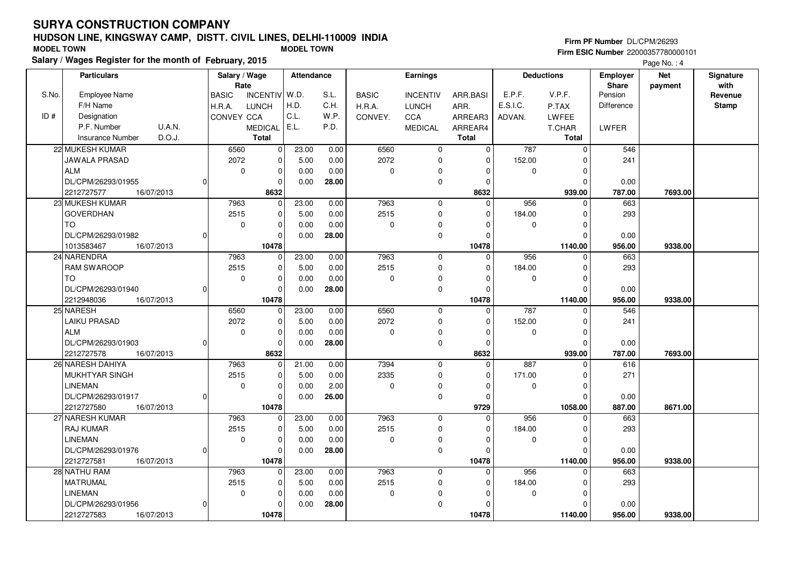## **HUDSON LINE, KINGSWAY CAMP, DISTT. CIVIL LINES, DELHI-110009 INDIASalary / Wages Register for the month of February, 2015 MODEL TOWN MODEL TOWN**

## **Firm PF Number** DL/CPM/26293

|       | Salary / Wages Register for the month of February, 2015 |                               |                   |              |                 |                |          |                   |              | Page No.: 4 |              |
|-------|---------------------------------------------------------|-------------------------------|-------------------|--------------|-----------------|----------------|----------|-------------------|--------------|-------------|--------------|
|       | <b>Particulars</b>                                      | Salary / Wage                 | <b>Attendance</b> |              | Earnings        |                |          | <b>Deductions</b> | Employer     | <b>Net</b>  | Signature    |
|       |                                                         | Rate                          |                   |              |                 |                |          |                   | <b>Share</b> | payment     | with         |
| S.No. | <b>Employee Name</b>                                    | INCENTIV W.D.<br><b>BASIC</b> | S.L.              | <b>BASIC</b> | <b>INCENTIV</b> | ARR.BASI       | E.P.F.   | V.P.F.            | Pension      |             | Revenue      |
|       | F/H Name                                                | H.R.A.<br><b>LUNCH</b>        | H.D.<br>C.H.      | H.R.A.       | <b>LUNCH</b>    | ARR.           | E.S.I.C. | P.TAX             | Difference   |             | <b>Stamp</b> |
| ID#   | Designation                                             | <b>CONVEY CCA</b>             | C.L.<br>W.P.      | CONVEY.      | <b>CCA</b>      | ARREAR3        | ADVAN.   | <b>LWFEE</b>      |              |             |              |
|       | P.F. Number<br>U.A.N.                                   | <b>MEDICAL</b>                | E.L.<br>P.D.      |              | <b>MEDICAL</b>  | ARREAR4        |          | <b>T.CHAR</b>     | LWFER        |             |              |
|       | D.O.J.<br><b>Insurance Number</b>                       | <b>Total</b>                  |                   |              |                 | <b>Total</b>   |          | <b>Total</b>      |              |             |              |
|       | 22 MUKESH KUMAR                                         | 6560<br>0                     | 23.00<br>0.00     | 6560         | $\mathbf 0$     | $\overline{0}$ | 787      | $\mathbf 0$       | 546          |             |              |
|       | JAWALA PRASAD                                           | $\Omega$<br>2072              | 5.00<br>0.00      | 2072         | $\mathbf 0$     | $\Omega$       | 152.00   | O                 | 241          |             |              |
|       | <b>ALM</b>                                              | $\pmb{0}$<br>$\mathbf 0$      | 0.00<br>0.00      | 0            | 0               | 0              | 0        | $\mathbf 0$       |              |             |              |
|       | DL/CPM/26293/01955<br>0                                 | $\Omega$                      | 0.00<br>28.00     |              | $\pmb{0}$       | 0              |          | $\Omega$          | 0.00         |             |              |
|       | 2212727577<br>16/07/2013                                | 8632                          |                   |              |                 | 8632           |          | 939.00            | 787.00       | 7693.00     |              |
|       | 23 MUKESH KUMAR                                         | 7963<br>$\Omega$              | 23.00<br>0.00     | 7963         | $\mathbf 0$     | $\Omega$       | 956      | $\Omega$          | 663          |             |              |
|       | <b>GOVERDHAN</b>                                        | 2515<br>$\mathbf 0$           | 5.00<br>0.00      | 2515         | $\pmb{0}$       | $\Omega$       | 184.00   | $\Omega$          | 293          |             |              |
|       | <b>TO</b>                                               | $\mathbf 0$<br>$\mathbf 0$    | 0.00<br>0.00      | 0            | $\mathbf 0$     | $\Omega$       | 0        | $\Omega$          |              |             |              |
|       | DL/CPM/26293/01982                                      | $\Omega$                      | 28.00<br>0.00     |              | $\mathbf 0$     | $\Omega$       |          | $\Omega$          | 0.00         |             |              |
|       | 1013583467<br>16/07/2013                                | 10478                         |                   |              |                 | 10478          |          | 1140.00           | 956.00       | 9338.00     |              |
|       | 24 NARENDRA                                             | 7963<br>$\mathbf 0$           | 23.00<br>0.00     | 7963         | $\mathbf 0$     | $\Omega$       | 956      | $\Omega$          | 663          |             |              |
|       | <b>RAM SWAROOP</b>                                      | 2515<br>$\mathbf 0$           | 5.00<br>0.00      | 2515         | $\mathbf 0$     | $\Omega$       | 184.00   | $\Omega$          | 293          |             |              |
|       | <b>TO</b>                                               | $\pmb{0}$<br>0                | 0.00<br>0.00      | 0            | $\pmb{0}$       | $\Omega$       | 0        | $\Omega$          |              |             |              |
|       | DL/CPM/26293/01940                                      | $\Omega$                      | 0.00<br>28.00     |              | $\mathbf 0$     | $\Omega$       |          | $\Omega$          | 0.00         |             |              |
|       | 2212948036<br>16/07/2013                                | 10478                         |                   |              |                 | 10478          |          | 1140.00           | 956.00       | 9338.00     |              |
|       | 25 NARESH                                               | 6560<br>$\Omega$              | 0.00<br>23.00     | 6560         | $\mathbf 0$     | $\Omega$       | 787      |                   | 546          |             |              |
|       | LAIKU PRASAD                                            | $\Omega$<br>2072              | 5.00<br>0.00      | 2072         | $\mathbf 0$     | $\Omega$       | 152.00   | $\Omega$          | 241          |             |              |
|       | <b>ALM</b>                                              | $\mathbf 0$<br>0              | 0.00<br>0.00      | 0            | 0               | $\mathbf 0$    | 0        | $\Omega$          |              |             |              |
|       | DL/CPM/26293/01903<br>O                                 | $\Omega$                      | 0.00<br>28.00     |              | $\mathbf 0$     | $\mathbf 0$    |          | $\Omega$          | 0.00         |             |              |
|       | 2212727578<br>16/07/2013                                | 8632                          |                   |              |                 | 8632           |          | 939.00            | 787.00       | 7693.00     |              |
|       | 26 NARESH DAHIYA                                        | 7963<br>$\Omega$              | 21.00<br>0.00     | 7394         | $\mathbf 0$     | $\Omega$       | 887      | $\Omega$          | 616          |             |              |
|       | <b>MUKHTYAR SINGH</b>                                   | 2515<br>$\mathbf 0$           | 5.00<br>0.00      | 2335         | $\mathbf 0$     | $\mathbf 0$    | 171.00   | $\Omega$          | 271          |             |              |
|       | <b>LINEMAN</b>                                          | $\mathbf 0$<br>$\mathbf 0$    | 2.00<br>0.00      | 0            | $\mathbf 0$     | $\Omega$       | 0        | $\Omega$          |              |             |              |
|       | DL/CPM/26293/01917                                      | $\Omega$                      | 26.00<br>0.00     |              | $\mathbf 0$     | $\Omega$       |          | $\Omega$          | 0.00         |             |              |
|       | 2212727580<br>16/07/2013                                | 10478                         |                   |              |                 | 9729           |          | 1058.00           | 887.00       | 8671.00     |              |
|       | 27 NARESH KUMAR                                         | 7963<br>$\mathbf 0$           | 23.00<br>0.00     | 7963         | $\mathbf 0$     | $\mathbf 0$    | 956      | $\mathbf 0$       | 663          |             |              |
|       | <b>RAJ KUMAR</b>                                        | 2515<br>$\mathbf 0$           | 5.00<br>0.00      | 2515         | $\mathbf 0$     | $\mathbf 0$    | 184.00   | $\Omega$          | 293          |             |              |
|       | <b>LINEMAN</b>                                          | $\Omega$<br>0                 | 0.00<br>0.00      | 0            | $\pmb{0}$       | $\Omega$       | 0        | $\Omega$          |              |             |              |
|       | DL/CPM/26293/01976                                      | $\Omega$                      | 0.00<br>28.00     |              | $\mathbf 0$     | $\Omega$       |          | $\Omega$          | 0.00         |             |              |
|       | 2212727581<br>16/07/2013                                | 10478                         |                   |              |                 | 10478          |          | 1140.00           | 956.00       | 9338.00     |              |
|       | 28 NATHU RAM                                            | 7963<br>$\mathbf 0$           | 23.00<br>0.00     | 7963         | $\mathbf 0$     | $\mathbf 0$    | 956      | $\Omega$          | 663          |             |              |
|       | <b>MATRUMAL</b>                                         | $\mathbf 0$<br>2515           | 5.00<br>0.00      | 2515         | $\mathbf 0$     | $\Omega$       | 184.00   | $\Omega$          | 293          |             |              |
|       | <b>LINEMAN</b>                                          | $\mathbf 0$<br>0              | 0.00<br>0.00      | 0            | $\mathbf 0$     | $\Omega$       | 0        | O                 |              |             |              |
|       | DL/CPM/26293/01956<br>O                                 | $\Omega$                      | 0.00<br>28.00     |              | $\mathbf 0$     | $\Omega$       |          |                   | 0.00         |             |              |
|       | 2212727583<br>16/07/2013                                | 10478                         |                   |              |                 | 10478          |          | 1140.00           | 956.00       | 9338.00     |              |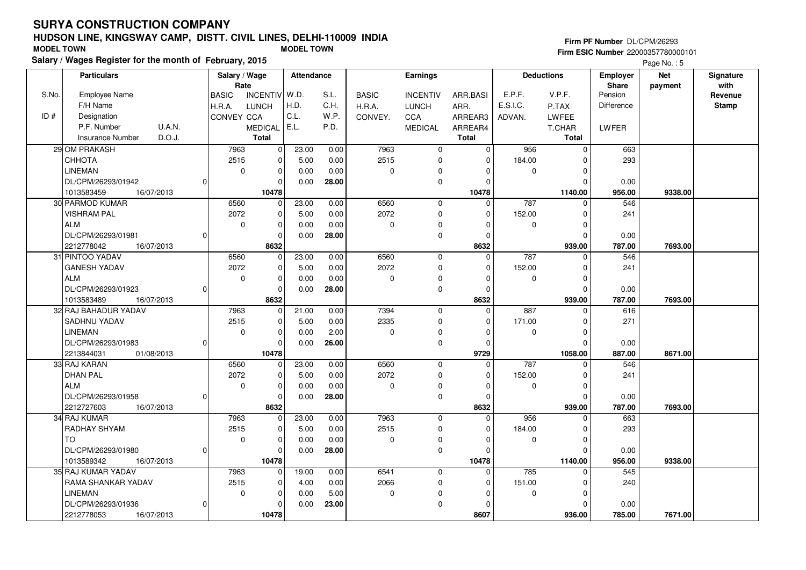## **HUDSON LINE, KINGSWAY CAMP, DISTT. CIVIL LINES, DELHI-110009 INDIASalary / Wages Register for the month of February, 2015 MODEL TOWN MODEL TOWN**

### **Firm PF Number** DL/CPM/26293

|       | Salary / wages Register for the month of February, 2015 |                                 |                   |              |                 |              |             |                     |                   | Page No.: 5 |              |
|-------|---------------------------------------------------------|---------------------------------|-------------------|--------------|-----------------|--------------|-------------|---------------------|-------------------|-------------|--------------|
|       | <b>Particulars</b>                                      | Salary / Wage                   | <b>Attendance</b> |              | Earnings        |              |             | <b>Deductions</b>   | <b>Employer</b>   | <b>Net</b>  | Signature    |
|       |                                                         | Rate                            |                   |              |                 |              |             |                     | <b>Share</b>      | payment     | with         |
| S.No. | <b>Employee Name</b>                                    | INCENTIV W.D.<br><b>BASIC</b>   | S.L.              | <b>BASIC</b> | <b>INCENTIV</b> | ARR.BASI     | E.P.F.      | V.P.F.              | Pension           |             | Revenue      |
|       | F/H Name                                                | H.R.A.<br><b>LUNCH</b>          | H.D.<br>C.H.      | H.R.A.       | <b>LUNCH</b>    | ARR.         | E.S.I.C.    | P.TAX               | <b>Difference</b> |             | <b>Stamp</b> |
| ID#   | Designation                                             | CONVEY CCA                      | C.L.<br>W.P.      | CONVEY.      | CCA             | ARREAR3      | ADVAN.      | <b>LWFEE</b>        |                   |             |              |
|       | <b>U.A.N.</b><br>P.F. Number                            | <b>MEDICAL</b>                  | E.L.<br>P.D.      |              | <b>MEDICAL</b>  | ARREAR4      |             | T.CHAR              | LWFER             |             |              |
|       | D.O.J.<br><b>Insurance Number</b>                       | <b>Total</b>                    |                   |              |                 | <b>Total</b> |             | Total               |                   |             |              |
|       | 29 OM PRAKASH                                           | 7963<br>$\overline{\mathbf{0}}$ | 0.00<br>23.00     | 7963         | $\mathbf 0$     | $\Omega$     | 956         | $\mathsf{O}\xspace$ | 663               |             |              |
|       | CHHOTA                                                  | 2515<br>$\pmb{0}$               | 5.00<br>0.00      | 2515         | $\mathbf 0$     | $\Omega$     | 184.00      | $\Omega$            | 293               |             |              |
|       | <b>LINEMAN</b>                                          | $\mathbf 0$<br>$\mathbf 0$      | 0.00<br>0.00      | 0            | $\mathbf 0$     | $\Omega$     | 0           | 0                   |                   |             |              |
|       | DL/CPM/26293/01942<br>$\Omega$                          | $\Omega$                        | 0.00<br>28.00     |              | $\mathbf 0$     | $\Omega$     |             | $\Omega$            | 0.00              |             |              |
|       | 1013583459<br>16/07/2013                                | 10478                           |                   |              |                 | 10478        |             | 1140.00             | 956.00            | 9338.00     |              |
|       | 30 PARMOD KUMAR                                         | 6560<br>$\Omega$                | 23.00<br>0.00     | 6560         | $\Omega$        | $\Omega$     | 787         | $\Omega$            | 546               |             |              |
|       | <b>VISHRAM PAL</b>                                      | 2072<br>$\pmb{0}$               | 5.00<br>0.00      | 2072         | $\mathbf 0$     | $\mathbf 0$  | 152.00      | $\mathbf 0$         | 241               |             |              |
|       | <b>ALM</b>                                              | $\mathbf 0$<br>$\mathbf 0$      | 0.00<br>0.00      | 0            | $\mathbf 0$     | $\Omega$     | 0           | $\mathbf 0$         |                   |             |              |
|       | DL/CPM/26293/01981<br>$\Omega$                          | $\Omega$                        | 0.00<br>28.00     |              | $\mathbf 0$     | $\Omega$     |             | $\Omega$            | 0.00              |             |              |
|       | 2212778042<br>16/07/2013                                | 8632                            |                   |              |                 | 8632         |             | 939.00              | 787.00            | 7693.00     |              |
|       | 31 PINTOO YADAV                                         | 6560<br>$\mathbf 0$             | 23.00<br>0.00     | 6560         | $\mathbf 0$     | $\Omega$     | 787         | $\mathbf 0$         | 546               |             |              |
|       | <b>GANESH YADAV</b>                                     | 2072<br>0                       | 5.00<br>0.00      | 2072         | $\mathbf 0$     | $\Omega$     | 152.00      | $\mathbf 0$         | 241               |             |              |
|       | <b>ALM</b>                                              | $\mathbf 0$<br>$\mathbf 0$      | 0.00<br>0.00      | 0            | $\mathbf 0$     | $\Omega$     | $\mathbf 0$ | $\mathbf 0$         |                   |             |              |
|       | DL/CPM/26293/01923<br>$\Omega$                          | $\mathbf 0$                     | 0.00<br>28.00     |              | $\mathbf 0$     | $\Omega$     |             | $\mathbf 0$         | 0.00              |             |              |
|       | 1013583489<br>16/07/2013                                | 8632                            |                   |              |                 | 8632         |             | 939.00              | 787.00            | 7693.00     |              |
|       | 32 RAJ BAHADUR YADAV                                    | 7963<br>0                       | 21.00<br>0.00     | 7394         | $\mathbf 0$     | $\Omega$     | 887         | $\Omega$            | 616               |             |              |
|       | <b>SADHNU YADAV</b>                                     | 2515<br>$\Omega$                | 5.00<br>0.00      | 2335         | $\Omega$        | $\Omega$     | 171.00      | $\Omega$            | 271               |             |              |
|       | <b>LINEMAN</b>                                          | $\pmb{0}$<br>$\mathbf 0$        | 2.00<br>0.00      | 0            | 0               | $\Omega$     | $\mathbf 0$ | $\mathbf 0$         |                   |             |              |
|       | DL/CPM/26293/01983<br>$\Omega$                          | $\mathbf 0$                     | 0.00<br>26.00     |              | $\pmb{0}$       | 0            |             | $\Omega$            | 0.00              |             |              |
|       | 2213844031<br>01/08/2013                                | 10478                           |                   |              |                 | 9729         |             | 1058.00             | 887.00            | 8671.00     |              |
|       | 33 RAJ KARAN                                            | 6560<br>$\Omega$                | 23.00<br>0.00     | 6560         | $\mathbf 0$     | $\Omega$     | 787         | $\Omega$            | 546               |             |              |
|       | <b>DHAN PAL</b>                                         | 2072<br>0                       | 5.00<br>0.00      | 2072         | $\mathbf 0$     | $\Omega$     | 152.00      | $\mathbf 0$         | 241               |             |              |
|       | <b>ALM</b>                                              | $\Omega$<br>$\Omega$            | 0.00<br>0.00      | 0            | $\mathbf 0$     | $\Omega$     | $\Omega$    | $\Omega$            |                   |             |              |
|       | DL/CPM/26293/01958<br>O                                 | $\Omega$                        | 0.00<br>28.00     |              | $\mathbf 0$     | $\Omega$     |             | $\Omega$            | 0.00              |             |              |
|       | 2212727603<br>16/07/2013                                | 8632                            |                   |              |                 | 8632         |             | 939.00              | 787.00            | 7693.00     |              |
|       | 34 RAJ KUMAR                                            | 7963<br>$\mathbf 0$             | 23.00<br>0.00     | 7963         | $\mathbf 0$     | $\mathbf{0}$ | 956         | $\mathbf 0$         | 663               |             |              |
|       | RADHAY SHYAM                                            | 2515<br>0                       | 5.00<br>0.00      | 2515         | $\mathbf 0$     | $\Omega$     | 184.00      | $\Omega$            | 293               |             |              |
|       | TO.                                                     | $\Omega$<br>$\Omega$            | 0.00<br>0.00      | $\mathbf 0$  | $\mathbf 0$     | $\Omega$     | $\mathbf 0$ | $\Omega$            |                   |             |              |
|       | DL/CPM/26293/01980<br>$\Omega$                          | $\Omega$                        | 0.00<br>28.00     |              | $\mathbf 0$     | $\Omega$     |             | $\Omega$            | 0.00              |             |              |
|       | 1013589342<br>16/07/2013                                | 10478                           |                   |              |                 | 10478        |             | 1140.00             | 956.00            | 9338.00     |              |
|       | 35 RAJ KUMAR YADAV                                      | 7963<br>0                       | 19.00<br>0.00     | 6541         | $\mathbf 0$     | $\Omega$     | 785         | $\Omega$            | 545               |             |              |
|       | RAMA SHANKAR YADAV                                      | 2515<br>$\mathbf 0$             | 4.00<br>0.00      | 2066         | $\mathbf 0$     | $\Omega$     | 151.00      | $\mathbf 0$         | 240               |             |              |
|       | <b>LINEMAN</b>                                          | 0<br>$\mathbf 0$                | 5.00<br>0.00      | 0            | $\mathbf 0$     | $\Omega$     | 0           | $\mathbf 0$         |                   |             |              |
|       | DL/CPM/26293/01936<br>0                                 | $\Omega$                        | 23.00<br>0.00     |              | $\mathbf 0$     | $\Omega$     |             | $\Omega$            | 0.00              |             |              |
|       | 2212778053<br>16/07/2013                                | 10478                           |                   |              |                 | 8607         |             | 936.00              | 785.00            | 7671.00     |              |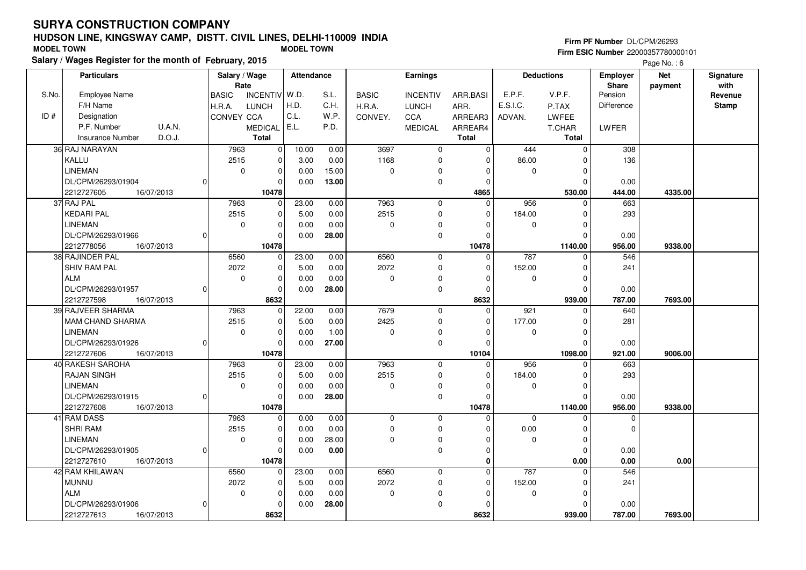MAM CHAND SHARMA

DL/CPM/26293/01926

DL/CPM/26293/01915

DL/CPM/26293/01905

DL/CPM/26293/01906

16/07/2013

16/07/2013

16/07/2013

16/07/2013

LINEMAN

2212727606 **10478**

2212727608 **10478**

2212727610 **10478**

2212727613 **8632**

42 RAM KHILAWANMUNNUALM

41 RAM DASS SHRI RAMLINEMAN

40 RAKESH SAROHARAJAN SINGHLINEMAN

# **HUDSON LINE, KINGSWAY CAMP, DISTT. CIVIL LINES, DELHI-110009 INDIA**

 2515 $\overline{0}$ 

 7963 2515 $\overline{0}$ 

 7963 2515 $\overline{0}$ 

 6560 2072 $\overline{\phantom{0}}$ 

0

 $\Omega$ 

 $\Omega$ 

 $\Omega$ 

 $\overline{0}$  $\overline{0}$  $\overline{0}$ 10478  5.00 0.000.00

23.00 5.00 0.000.00

> 0.00 0.00 0.000.00

23.00 5.00 0.000.00

 0.00 1.00**27.00**

 0.00 0.00 0.00**28.00**

 0.00 0.00 28.00 **0.00**

 0.00 0.00 0.00**28.00**

 $\overline{0}$ 

 $\overline{0}$  $\overline{0}$  $\overline{0}$ 10478

 $\overline{0}$ 

 $\overline{0}$  $\overline{0}$  $\overline{0}$ 10478

 $\overline{0}$ 

 $\overline{0}$  $\overline{0}$  $\overline{0}$ 8632

| <b>MODEL TOWN</b> |                                                         |              |                | <b>MODEL TOWN</b> |       | Firm ESIC Number 22000357780000101 |                 |              |          |                   |                   |             |           |  |  |
|-------------------|---------------------------------------------------------|--------------|----------------|-------------------|-------|------------------------------------|-----------------|--------------|----------|-------------------|-------------------|-------------|-----------|--|--|
|                   | Salary / Wages Register for the month of February, 2015 |              |                |                   |       |                                    |                 |              |          |                   |                   | Page No.: 6 |           |  |  |
|                   | <b>Particulars</b>                                      |              | Salary / Wage  | <b>Attendance</b> |       |                                    | Earnings        |              |          | <b>Deductions</b> | <b>Employer</b>   | <b>Net</b>  | Signature |  |  |
|                   |                                                         |              | Rate           |                   |       |                                    |                 |              |          |                   | <b>Share</b>      | payment     | with      |  |  |
| S.No.             | <b>Employee Name</b>                                    | <b>BASIC</b> | INCENTIV W.D.  |                   | S.L.  | <b>BASIC</b>                       | <b>INCENTIV</b> | ARR.BASI     | E.P.F.   | V.P.F.            | Pension           |             | Revenue   |  |  |
|                   | F/H Name                                                | H.R.A.       | <b>LUNCH</b>   | H.D.              | C.H.  | H.R.A.                             | <b>LUNCH</b>    | ARR.         | E.S.I.C. | P.TAX             | <b>Difference</b> |             | Stamp     |  |  |
| ID#               | Designation                                             | CONVEY CCA   |                | l C.L.            | W.P.  | CONVEY.                            | CCA             | ARREAR3      | ADVAN.   | LWFEE             |                   |             |           |  |  |
|                   | P.F. Number<br>U.A.N.                                   |              | MEDICAL   E.L. |                   | P.D.  |                                    | <b>MEDICAL</b>  | ARREAR4      |          | T.CHAR            | LWFER             |             |           |  |  |
|                   | D.O.J.<br><b>Insurance Number</b>                       |              | <b>Total</b>   |                   |       |                                    |                 | <b>Total</b> |          | <b>Total</b>      |                   |             |           |  |  |
|                   | 36 RAJ NARAYAN                                          | 7963         | $\Omega$       | 10.00             | 0.00  | 3697                               | $\Omega$        | $\Omega$     | 444      |                   | 308               |             |           |  |  |
|                   | l KALLU                                                 | 2515         | $\Omega$       | 3.00              | 0.00  | 1168                               |                 |              | 86.00    |                   | 136               |             |           |  |  |
|                   | LINEMAN                                                 |              | $\Omega$       | 0.00              | 15.00 | $\Omega$                           | $\Omega$        |              |          |                   |                   |             |           |  |  |
|                   | DL/CPM/26293/01904                                      |              |                | 0.00              | 13.00 |                                    | $\Omega$        |              |          |                   | 0.00              |             |           |  |  |
|                   | 16/07/2013<br>2212727605                                |              | 10478          |                   |       |                                    |                 | 4865         |          | 530.00            | 444.00            | 4335.00     |           |  |  |
|                   | 37 RAJ PAL                                              | 7963         | $\Omega$       | 23.00             | 0.00  | 7963                               | $\Omega$        | $\Omega$     | 956      |                   | 663               |             |           |  |  |
|                   | <b>KEDARI PAL</b>                                       | 2515         | $\Omega$       | 5.00              | 0.00  | 2515                               | 0               | $\mathbf 0$  | 184.00   |                   | 293               |             |           |  |  |
|                   | LINEMAN                                                 |              | $\Omega$       | 0.00              | 0.00  | $\Omega$                           | 0               |              |          |                   |                   |             |           |  |  |
|                   | DL/CPM/26293/01966                                      |              |                | 0.00              | 28.00 |                                    | $\Omega$        |              |          |                   | 0.00              |             |           |  |  |
|                   | 2212778056<br>16/07/2013                                |              | 10478          |                   |       |                                    |                 | 10478        |          | 1140.00           | 956.00            | 9338.00     |           |  |  |
|                   | 38 RAJINDER PAL                                         | 6560         | $\Omega$       | 23.00             | 0.00  | 6560                               | $\Omega$        | $\mathbf 0$  | 787      |                   | 546               |             |           |  |  |
|                   | <b>SHIV RAM PAL</b>                                     | 2072         | 0              | 5.00              | 0.00  | 2072                               | 0               | 0            | 152.00   |                   | 241               |             |           |  |  |
|                   | ALM                                                     |              | $\Omega$       | 0.00              | 0.00  | $\Omega$                           | 0               |              |          |                   |                   |             |           |  |  |
|                   | DL/CPM/26293/01957                                      |              |                | 0.00              | 28.00 |                                    | $\Omega$        |              |          |                   | 0.00              |             |           |  |  |
|                   | 2212727598<br>16/07/2013                                |              | 8632           |                   |       |                                    |                 | 8632         |          | 939.00            | 787.00            | 7693.00     |           |  |  |
|                   | 39 RAJVEER SHARMA                                       | 7963         | $\mathbf 0$    | 22.00             | 0.00  | 7679                               | $\Omega$        | 0            | 921      | $\Omega$          | 640               |             |           |  |  |

 $\overline{0}$  $\overline{0}$  $\overline{0}$ 

 $\overline{0}$  $\overline{0}$  $\overline{0}$  $\overline{0}$ 

 0 $\overline{0}$  $\overline{0}$  $\overline{0}$ 

 $\overline{0}$  $\overline{0}$  $\overline{0}$  $\overline{0}$ 

 2425 $\overline{0}$ 

16/07/2013 **921.00**

 7963 2515 $\overline{0}$ 

16/07/2013 **956.00**

16/07/2013 **0.00**

 6560 2072 $\overline{0}$ 

16/07/2013 **787.00**

 0 $\overline{0}$  $\overline{0}$ 

 $\overline{0}$  $\overline{0}$  $\overline{0}$   **10104** $\overline{0}$ 

 $\overline{0}$  $\overline{0}$  $\overline{0}$   **10478** $\overline{0}$ 

> $\overline{0}$  $\overline{0}$  $\overline{0}$   **0** $\overline{0}$

 $\overline{0}$  $\overline{0}$  $\overline{0}$  **8632**  177.00 $\overline{0}$ 

 184.00 $\overline{0}$ 

> 0.00 $\overline{0}$

 152.00 $\overline{0}$ 

**Firm PF Number** DL/CPM/26293

 $\overline{0}$ 

 $\overline{0}$  $\overline{0}$ 

 $\overline{0}$ 

 $\overline{0}$  $\overline{0}$ 

 0 $\overline{0}$  $\overline{0}$  $0.00$ 

 $\overline{0}$ 

 0 $\overline{0}$ 939.00

956 0

0 0

787 0

 **1098.00 9006.00**

 **1140.00 9338.00**

663

293

 0.00956.00

 $\overline{0}$ 

 $\overline{0}$ 

 **0.00 0.00**

546

241

 0.00787.00

 **939.00 7693.00**

0.00

 0.00921.00

281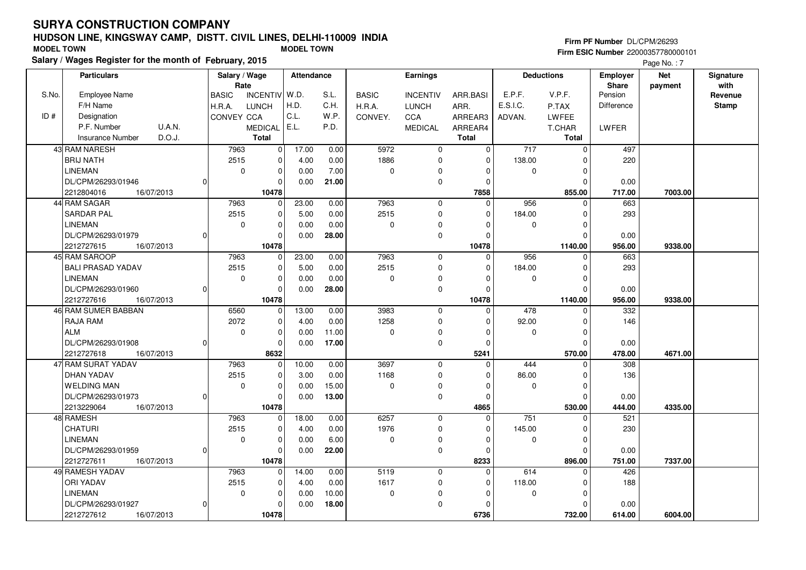# **HUDSON LINE, KINGSWAY CAMP, DISTT. CIVIL LINES, DELHI-110009 INDIA**

#### **Salary / Wages Register for the month of February, 2015 MODEL TOWN MODEL TOWN Firm PF Number** DL/CPM/26293 **Firm ESIC Number** 22000357780000101

Page No.: 7

|       | <b>Particulars</b>                |          | Salary / Wage        |                         | Attendance |       |              | Earnings        |             |                  | <b>Deductions</b> | Employer          | <b>Net</b> | Signature<br>with |
|-------|-----------------------------------|----------|----------------------|-------------------------|------------|-------|--------------|-----------------|-------------|------------------|-------------------|-------------------|------------|-------------------|
| S.No. | <b>Employee Name</b>              |          | Rate<br><b>BASIC</b> | INCENTIV W.D.           |            | S.L.  | <b>BASIC</b> | <b>INCENTIV</b> | ARR.BASI    | E.P.F.           | V.P.F.            | Share<br>Pension  | payment    | Revenue           |
|       | F/H Name                          |          | H.R.A.               | <b>LUNCH</b>            | H.D.       | C.H.  | H.R.A.       | <b>LUNCH</b>    | ARR.        | E.S.I.C.         | P.TAX             | <b>Difference</b> |            | <b>Stamp</b>      |
| ID#   | Designation                       |          | CONVEY CCA           |                         | C.L.       | W.P.  | CONVEY.      | <b>CCA</b>      | ARREAR3     | ADVAN.           | <b>LWFEE</b>      |                   |            |                   |
|       | U.A.N.<br>P.F. Number             |          |                      | <b>MEDICAL</b>          | E.L.       | P.D.  |              | <b>MEDICAL</b>  | ARREAR4     |                  | T.CHAR            | LWFER             |            |                   |
|       | D.O.J.<br><b>Insurance Number</b> |          |                      | <b>Total</b>            |            |       |              |                 | Total       |                  | <b>Total</b>      |                   |            |                   |
|       | 43 RAM NARESH                     |          | 7963                 | $\overline{\mathbf{0}}$ | 17.00      | 0.00  | 5972         | $\mathbf 0$     | $\mathbf 0$ | $\overline{717}$ | $\mathbf 0$       | 497               |            |                   |
|       | <b>BRIJ NATH</b>                  |          | 2515                 | 0                       | 4.00       | 0.00  | 1886         | $\mathbf 0$     | $\mathbf 0$ | 138.00           | $\Omega$          | 220               |            |                   |
|       | <b>LINEMAN</b>                    |          | $\mathbf 0$          | $\pmb{0}$               | 0.00       | 7.00  | $\mathbf 0$  | $\Omega$        | $\Omega$    | 0                | $\mathbf 0$       |                   |            |                   |
|       | DL/CPM/26293/01946                | 0        |                      | $\mathbf 0$             | 0.00       | 21.00 |              | $\mathbf 0$     | $\Omega$    |                  | $\mathbf 0$       | 0.00              |            |                   |
|       | 2212804016<br>16/07/2013          |          |                      | 10478                   |            |       |              |                 | 7858        |                  | 855.00            | 717.00            | 7003.00    |                   |
|       | 44 RAM SAGAR                      |          | 7963                 | $\mathbf 0$             | 23.00      | 0.00  | 7963         | $\mathbf 0$     | $\Omega$    | 956              | $\Omega$          | 663               |            |                   |
|       | <b>SARDAR PAL</b>                 |          | 2515                 | 0                       | 5.00       | 0.00  | 2515         | $\mathbf 0$     | $\Omega$    | 184.00           | $\mathbf 0$       | 293               |            |                   |
|       | LINEMAN                           |          | $\mathbf 0$          | $\mathbf 0$             | 0.00       | 0.00  | 0            | $\pmb{0}$       | $\Omega$    | $\mathbf 0$      | $\mathbf 0$       |                   |            |                   |
|       | DL/CPM/26293/01979                |          |                      | $\mathbf 0$             | 0.00       | 28.00 |              | $\mathbf 0$     | $\Omega$    |                  | $\Omega$          | 0.00              |            |                   |
|       | 2212727615<br>16/07/2013          |          |                      | 10478                   |            |       |              |                 | 10478       |                  | 1140.00           | 956.00            | 9338.00    |                   |
|       | 45 RAM SAROOP                     |          | 7963                 | 0                       | 23.00      | 0.00  | 7963         | $\mathbf 0$     | $\Omega$    | 956              | $\Omega$          | 663               |            |                   |
|       | <b>BALI PRASAD YADAV</b>          |          | 2515                 | $\mathbf 0$             | 5.00       | 0.00  | 2515         | $\Omega$        | $\Omega$    | 184.00           | $\Omega$          | 293               |            |                   |
|       | LINEMAN                           |          | $\mathbf 0$          | $\mathbf 0$             | 0.00       | 0.00  | 0            | 0               | $\Omega$    | 0                | $\mathbf 0$       |                   |            |                   |
|       | DL/CPM/26293/01960                | n        |                      | 0                       | 0.00       | 28.00 |              | $\mathbf 0$     | $\Omega$    |                  | $\mathbf 0$       | 0.00              |            |                   |
|       | 2212727616<br>16/07/2013          |          |                      | 10478                   |            |       |              |                 | 10478       |                  | 1140.00           | 956.00            | 9338.00    |                   |
|       | 46 RAM SUMER BABBAN               |          | 6560                 | 0                       | 13.00      | 0.00  | 3983         | $\mathbf 0$     | 0           | 478              | $\Omega$          | 332               |            |                   |
|       | RAJA RAM                          |          | 2072                 | $\pmb{0}$               | 4.00       | 0.00  | 1258         | $\mathbf 0$     | $\Omega$    | 92.00            | $\mathbf 0$       | 146               |            |                   |
|       | <b>ALM</b>                        |          | $\mathbf 0$          | $\mathbf 0$             | 0.00       | 11.00 | 0            | $\mathbf 0$     | $\Omega$    | $\mathbf 0$      | $\mathbf 0$       |                   |            |                   |
|       | DL/CPM/26293/01908                | 0        |                      | $\Omega$                | 0.00       | 17.00 |              | $\mathbf 0$     | $\Omega$    |                  | $\Omega$          | 0.00              |            |                   |
|       | 2212727618<br>16/07/2013          |          |                      | 8632                    |            |       |              |                 | 5241        |                  | 570.00            | 478.00            | 4671.00    |                   |
|       | 47 RAM SURAT YADAV                |          | 7963                 | $\mathbf 0$             | 10.00      | 0.00  | 3697         | $\mathbf 0$     | $\Omega$    | 444              | $\Omega$          | 308               |            |                   |
|       | DHAN YADAV                        |          | 2515                 | $\mathbf 0$             | 3.00       | 0.00  | 1168         | $\mathbf 0$     | $\Omega$    | 86.00            | 0                 | 136               |            |                   |
|       | <b>WELDING MAN</b>                |          | $\mathbf 0$          | $\mathbf 0$             | 0.00       | 15.00 | 0            | $\Omega$        | $\Omega$    | $\mathbf 0$      | $\mathbf 0$       |                   |            |                   |
|       | DL/CPM/26293/01973                | $\Omega$ |                      | $\Omega$                | 0.00       | 13.00 |              | $\mathbf 0$     | $\Omega$    |                  | $\Omega$          | 0.00              |            |                   |
|       | 2213229064<br>16/07/2013          |          |                      | 10478                   |            |       |              |                 | 4865        |                  | 530.00            | 444.00            | 4335.00    |                   |
|       | 48 RAMESH                         |          | 7963                 | $\mathbf 0$             | 18.00      | 0.00  | 6257         | $\mathbf 0$     | $\Omega$    | 751              | $\Omega$          | 521               |            |                   |
|       | <b>CHATURI</b>                    |          | 2515                 | $\pmb{0}$               | 4.00       | 0.00  | 1976         | $\mathbf 0$     | $\mathbf 0$ | 145.00           | $\mathbf 0$       | 230               |            |                   |
|       | <b>LINEMAN</b>                    |          | $\mathbf 0$          | $\mathbf 0$             | 0.00       | 6.00  | 0            | $\mathbf 0$     | $\Omega$    | 0                | $\mathbf 0$       |                   |            |                   |
|       | DL/CPM/26293/01959                | U        |                      | $\Omega$                | 0.00       | 22.00 |              | $\mathbf 0$     | $\Omega$    |                  | $\Omega$          | 0.00              |            |                   |
|       | 2212727611<br>16/07/2013          |          |                      | 10478                   |            |       |              |                 | 8233        |                  | 896.00            | 751.00            | 7337.00    |                   |
|       | 49 RAMESH YADAV                   |          | 7963                 | 0                       | 14.00      | 0.00  | 5119         | 0               | 0           | 614              | 0                 | 426               |            |                   |
|       | <b>ORI YADAV</b>                  |          | 2515                 | $\mathbf 0$             | 4.00       | 0.00  | 1617         | $\mathbf 0$     | $\Omega$    | 118.00           | $\mathbf 0$       | 188               |            |                   |
|       | <b>LINEMAN</b>                    |          | $\mathbf 0$          | $\mathbf 0$             | 0.00       | 10.00 | 0            | $\pmb{0}$       | $\Omega$    | $\mathbf 0$      | $\mathbf 0$       |                   |            |                   |
|       | DL/CPM/26293/01927                | 0        |                      | $\mathbf 0$             | 0.00       | 18.00 |              | $\mathbf 0$     | $\Omega$    |                  | $\mathbf 0$       | 0.00              |            |                   |
|       | 2212727612<br>16/07/2013          |          |                      | 10478                   |            |       |              |                 | 6736        |                  | 732.00            | 614.00            | 6004.00    |                   |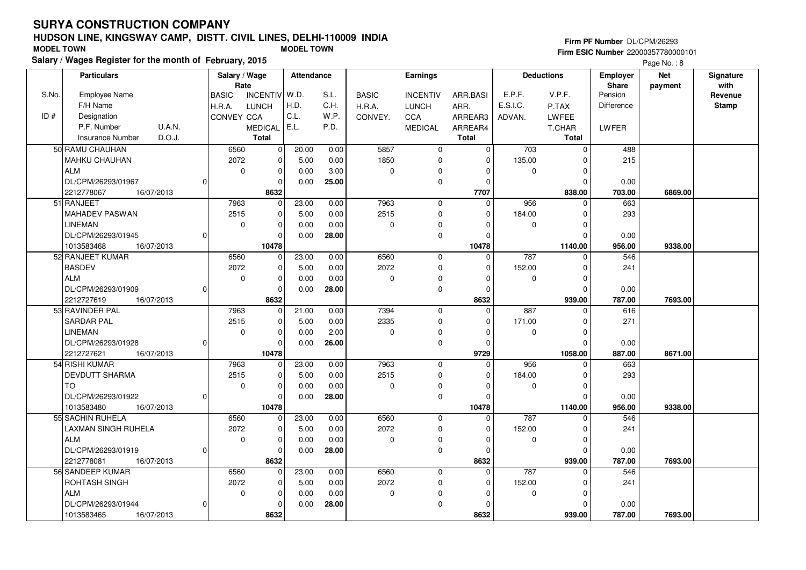## **HUDSON LINE, KINGSWAY CAMP, DISTT. CIVIL LINES, DELHI-110009 INDIASalary / Wages Register for the month of February, 2015 MODEL TOWN MODEL TOWN**

### **Firm PF Number** DL/CPM/26293

|       | Salary / wages Register for the month of February, 2015 |               |                |            |       |              |                     |              |             |                   |                   | Page No.: 8 |              |
|-------|---------------------------------------------------------|---------------|----------------|------------|-------|--------------|---------------------|--------------|-------------|-------------------|-------------------|-------------|--------------|
|       | <b>Particulars</b>                                      | Salary / Wage |                | Attendance |       |              | Earnings            |              |             | <b>Deductions</b> | <b>Employer</b>   | <b>Net</b>  | Signature    |
|       |                                                         | Rate          |                |            |       |              |                     |              |             |                   | <b>Share</b>      | payment     | with         |
| S.No. | <b>Employee Name</b>                                    | <b>BASIC</b>  | INCENTIV W.D.  |            | S.L.  | <b>BASIC</b> | <b>INCENTIV</b>     | ARR.BASI     | E.P.F.      | V.P.F.            | Pension           |             | Revenue      |
|       | F/H Name                                                | H.R.A.        | <b>LUNCH</b>   | H.D.       | C.H.  | H.R.A.       | <b>LUNCH</b>        | ARR.         | E.S.I.C.    | P.TAX             | <b>Difference</b> |             | <b>Stamp</b> |
| ID#   | Designation                                             | CONVEY CCA    |                | C.L.       | W.P.  | CONVEY.      | <b>CCA</b>          | ARREAR3      | ADVAN.      | <b>LWFEE</b>      |                   |             |              |
|       | U.A.N.<br>P.F. Number                                   |               | <b>MEDICAL</b> | E.L.       | P.D.  |              | <b>MEDICAL</b>      | ARREAR4      |             | T.CHAR            | LWFER             |             |              |
|       | D.O.J.<br><b>Insurance Number</b>                       |               | <b>Total</b>   |            |       |              |                     | <b>Total</b> |             | <b>Total</b>      |                   |             |              |
|       | 50 RAMU CHAUHAN                                         | 6560          | $\overline{0}$ | 20.00      | 0.00  | 5857         | $\mathbf{0}$        | $\Omega$     | 703         | $\mathbf 0$       | 488               |             |              |
|       | MAHKU CHAUHAN                                           | 2072          | $\Omega$       | 5.00       | 0.00  | 1850         | $\mathbf 0$         | $\Omega$     | 135.00      | $\Omega$          | 215               |             |              |
|       | <b>ALM</b>                                              | $\mathbf 0$   | $\mathbf 0$    | 0.00       | 3.00  | $\mathbf 0$  | $\mathbf 0$         | $\Omega$     | $\mathbf 0$ | $\mathbf 0$       |                   |             |              |
|       | DL/CPM/26293/01967                                      | 0             | $\mathbf 0$    | 0.00       | 25.00 |              | $\mathsf{O}\xspace$ | $\mathbf 0$  |             | $\mathbf 0$       | 0.00              |             |              |
|       | 2212778067<br>16/07/2013                                |               | 8632           |            |       |              |                     | 7707         |             | 838.00            | 703.00            | 6869.00     |              |
|       | 51 RANJEET                                              | 7963          | $\Omega$       | 23.00      | 0.00  | 7963         | $\mathbf 0$         | $\Omega$     | 956         | $\Omega$          | 663               |             |              |
|       | <b>MAHADEV PASWAN</b>                                   | 2515          | $\mathbf 0$    | 5.00       | 0.00  | 2515         | $\mathbf 0$         | $\mathbf 0$  | 184.00      | $\mathbf 0$       | 293               |             |              |
|       | <b>LINEMAN</b>                                          | $\Omega$      | $\Omega$       | 0.00       | 0.00  | 0            | 0                   | $\Omega$     | 0           | $\Omega$          |                   |             |              |
|       | DL/CPM/26293/01945<br>0                                 |               | $\Omega$       | 0.00       | 28.00 |              | $\mathbf 0$         | $\mathbf 0$  |             | $\Omega$          | 0.00              |             |              |
|       | 16/07/2013<br>1013583468                                |               | 10478          |            |       |              |                     | 10478        |             | 1140.00           | 956.00            | 9338.00     |              |
|       | 52 RANJEET KUMAR                                        | 6560          | $\mathbf 0$    | 23.00      | 0.00  | 6560         | $\mathbf 0$         | $\mathbf 0$  | 787         | $\mathbf 0$       | 546               |             |              |
|       | <b>BASDEV</b>                                           | 2072          | $\mathbf 0$    | 5.00       | 0.00  | 2072         | $\mathsf 0$         | $\Omega$     | 152.00      | $\Omega$          | 241               |             |              |
|       | <b>ALM</b>                                              | $\Omega$      | $\mathbf 0$    | 0.00       | 0.00  | $\mathbf 0$  | $\mathbf 0$         | $\Omega$     | $\mathbf 0$ | $\mathbf 0$       |                   |             |              |
|       | DL/CPM/26293/01909<br>O                                 |               | $\mathbf 0$    | 0.00       | 28.00 |              | $\mathbf 0$         | $\Omega$     |             | $\mathbf 0$       | 0.00              |             |              |
|       | 2212727619<br>16/07/2013                                |               | 8632           |            |       |              |                     | 8632         |             | 939.00            | 787.00            | 7693.00     |              |
|       | 53 RAVINDER PAL                                         | 7963          | $\mathbf 0$    | 21.00      | 0.00  | 7394         | $\mathbf 0$         | $\Omega$     | 887         | $\Omega$          | 616               |             |              |
|       | <b>SARDAR PAL</b>                                       | 2515          | $\Omega$       | 5.00       | 0.00  | 2335         | $\mathbf 0$         | $\Omega$     | 171.00      | $\Omega$          | 271               |             |              |
|       | <b>LINEMAN</b>                                          | $\Omega$      | $\mathbf 0$    | 0.00       | 2.00  | 0            | 0                   | $\mathbf 0$  | 0           | $\mathbf 0$       |                   |             |              |
|       | DL/CPM/26293/01928                                      | 0             | $\Omega$       | 0.00       | 26.00 |              | $\mathbf 0$         | $\Omega$     |             | $\Omega$          | 0.00              |             |              |
|       | 2212727621<br>16/07/2013                                |               | 10478          |            |       |              |                     | 9729         |             | 1058.00           | 887.00            | 8671.00     |              |
|       | 54 RISHI KUMAR                                          | 7963          | $\Omega$       | 23.00      | 0.00  | 7963         | $\mathbf 0$         | $\Omega$     | 956         | $\Omega$          | 663               |             |              |
|       | DEVDUTT SHARMA                                          | 2515          | $\mathbf 0$    | 5.00       | 0.00  | 2515         | $\mathbf 0$         | $\mathbf 0$  | 184.00      | $\mathbf 0$       | 293               |             |              |
|       | <b>TO</b>                                               | $\Omega$      | $\mathbf 0$    | 0.00       | 0.00  | 0            | 0                   | 0            | 0           | $\mathbf 0$       |                   |             |              |
|       | DL/CPM/26293/01922<br>ŋ                                 |               | $\Omega$       | 0.00       | 28.00 |              | $\mathbf 0$         | $\Omega$     |             | $\Omega$          | 0.00              |             |              |
|       | 1013583480<br>16/07/2013                                |               | 10478          |            |       |              |                     | 10478        |             | 1140.00           | 956.00            | 9338.00     |              |
|       | 55 SACHIN RUHELA                                        | 6560          | 0              | 23.00      | 0.00  | 6560         | $\mathbf 0$         | $\Omega$     | 787         | $\mathbf 0$       | 546               |             |              |
|       | LAXMAN SINGH RUHELA                                     | 2072          | $\mathbf 0$    | 5.00       | 0.00  | 2072         | $\mathbf 0$         | $\Omega$     | 152.00      | $\mathbf 0$       | 241               |             |              |
|       | <b>ALM</b>                                              | $\Omega$      | $\Omega$       | 0.00       | 0.00  | $\mathbf 0$  | $\mathbf 0$         | $\Omega$     | 0           | $\Omega$          |                   |             |              |
|       | DL/CPM/26293/01919<br>0                                 |               | $\mathbf 0$    | 0.00       | 28.00 |              | $\mathbf 0$         | $\Omega$     |             | $\Omega$          | 0.00              |             |              |
|       | 2212778081<br>16/07/2013                                |               | 8632           |            |       |              |                     | 8632         |             | 939.00            | 787.00            | 7693.00     |              |
|       | 56 SANDEEP KUMAR                                        | 6560          | $\mathbf 0$    | 23.00      | 0.00  | 6560         | $\mathbf 0$         | $\Omega$     | 787         | $\Omega$          | 546               |             |              |
|       | ROHTASH SINGH                                           | 2072          | $\mathbf 0$    | 5.00       | 0.00  | 2072         | $\mathbf 0$         | 0            | 152.00      | $\mathbf 0$       | 241               |             |              |
|       | <b>ALM</b>                                              | $\mathbf 0$   | $\mathbf 0$    | 0.00       | 0.00  | 0            | 0                   | 0            | 0           | $\mathbf 0$       |                   |             |              |
|       | DL/CPM/26293/01944<br>0                                 |               | $\Omega$       | 0.00       | 28.00 |              | $\mathbf 0$         | $\Omega$     |             | $\Omega$          | 0.00              |             |              |
|       | 1013583465<br>16/07/2013                                |               | 8632           |            |       |              |                     | 8632         |             | 939.00            | 787.00            | 7693.00     |              |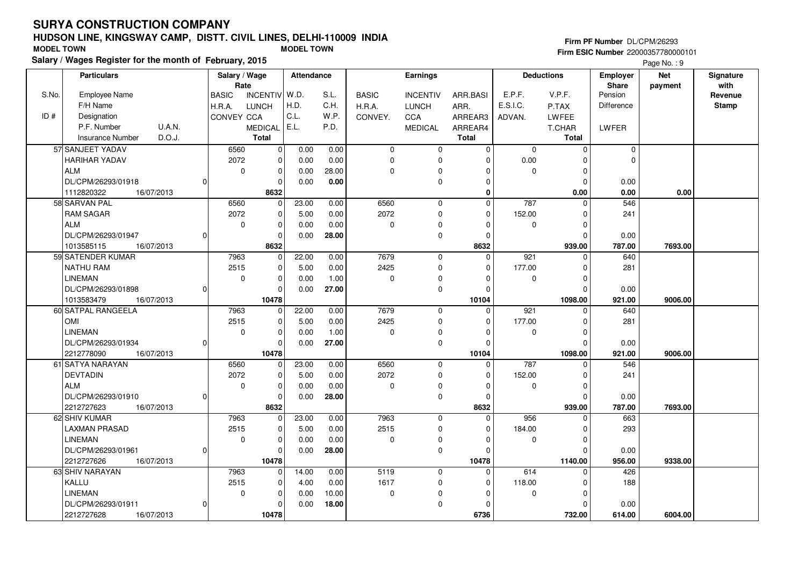OMI**LINEMAN** 

60 SATPAL RANGEELA

# **HUDSON LINE, KINGSWAY CAMP, DISTT. CIVIL LINES, DELHI-110009 INDIA**

 $\overline{0}$ 

22.00 5.000.00

 0.00 0.001.00

 $\overline{0}$  $\overline{0}$ 

 7963 2515 $\overline{0}$ 

| <b>MODEL TOWN</b> |                                                         |            |                   |                       | <b>MODEL TOWN</b> |       |              |                 |          |          |                   |                                 | Firm ESIC Number 22000357780000101 |                   |
|-------------------|---------------------------------------------------------|------------|-------------------|-----------------------|-------------------|-------|--------------|-----------------|----------|----------|-------------------|---------------------------------|------------------------------------|-------------------|
|                   | Salary / Wages Register for the month of February, 2015 |            |                   |                       |                   |       |              |                 |          |          |                   |                                 | Page No.: 9                        |                   |
|                   | <b>Particulars</b>                                      |            |                   | Salary / Wage<br>Rate | Attendance        |       |              | Earnings        |          |          | <b>Deductions</b> | <b>Employer</b><br><b>Share</b> | <b>Net</b><br>payment              | Signature<br>with |
| S.No.             | <b>Employee Name</b>                                    |            | <b>BASIC</b>      | INCENTIV W.D.         |                   | S.L.  | <b>BASIC</b> | <b>INCENTIV</b> | ARR.BASI | E.P.F.   | V.P.F.            | Pension                         |                                    | Revenue           |
|                   | F/H Name                                                |            | H.R.A.            | <b>LUNCH</b>          | H.D.              | C.H.  | H.R.A.       | <b>LUNCH</b>    | ARR.     | E.S.I.C. | P.TAX             | Difference                      |                                    | <b>Stamp</b>      |
| ID#               | Designation                                             |            | <b>CONVEY CCA</b> |                       | C.L.              | W.P.  | CONVEY.      | <b>CCA</b>      | ARREAR3  | ADVAN.   | LWFEE             |                                 |                                    |                   |
|                   | P.F. Number                                             | U.A.N.     |                   | <b>MEDICAL</b>        | l E.L.            | P.D.  |              | <b>MEDICAL</b>  | ARREAR4  |          | T.CHAR            | LWFER                           |                                    |                   |
|                   | Insurance Number                                        | D.O.J.     |                   | Total                 |                   |       |              |                 | Total    |          | <b>Total</b>      |                                 |                                    |                   |
|                   | 57 SANJEET YADAV                                        |            | 6560              | $\Omega$              | 0.00              | 0.00  | $\Omega$     | $\Omega$        |          | $\Omega$ |                   |                                 |                                    |                   |
|                   | <b>HARIHAR YADAV</b>                                    |            | 2072              |                       | 0.00              | 0.00  |              |                 |          | 0.00     |                   |                                 |                                    |                   |
|                   | ALM                                                     |            |                   |                       | 0.00              | 28.00 | $\Omega$     |                 |          | O        |                   |                                 |                                    |                   |
|                   | DL/CPM/26293/01918                                      |            |                   |                       | 0.00              | 0.00  |              |                 |          |          |                   | 0.00                            |                                    |                   |
|                   | 1112820322                                              | 16/07/2013 |                   | 8632                  |                   |       |              |                 |          |          | 0.00              | 0.00                            | 0.00                               |                   |
|                   | 58 SARVAN PAL                                           |            | 6560              | $\Omega$              | 23.00             | 0.00  | 6560         | $\Omega$        | $\Omega$ | 787      |                   | 546                             |                                    |                   |
|                   | <b>RAM SAGAR</b>                                        |            | 2072              |                       | 5.00              | 0.00  | 2072         |                 | $\Omega$ | 152.00   |                   | 241                             |                                    |                   |
|                   | l ALM                                                   |            |                   |                       | 0.00              | 0.00  |              | 0               |          |          |                   |                                 |                                    |                   |
|                   | DL/CPM/26293/01947                                      |            |                   |                       | 0.00              | 28.00 |              |                 |          |          |                   | 0.00                            |                                    |                   |
|                   | 1013585115                                              | 16/07/2013 |                   | 8632                  |                   |       |              |                 | 8632     |          | 939.00            | 787.00                          | 7693.00                            |                   |
|                   | 59 SATENDER KUMAR                                       |            | 7963              |                       | 22.00             | 0.00  | 7679         | $\Omega$        |          | 921      |                   | 640                             |                                    |                   |
|                   | INATHU RAM                                              |            | 2515              |                       | 5.00              | 0.00  | 2425         | 0               | $\Omega$ | 177.00   |                   | 281                             |                                    |                   |
|                   | LINEMAN                                                 |            | $\Omega$          |                       | 0.00              | 1.00  | $\Omega$     | 0               |          | 0        |                   |                                 |                                    |                   |
|                   | DL/CPM/26293/01898                                      |            |                   |                       | 0.00              | 27.00 |              | O               |          |          |                   | 0.00                            |                                    |                   |
|                   | 1013583479                                              | 16/07/2013 |                   | 10478                 |                   |       |              |                 | 10104    |          | 1098.00           | 921.00                          | 9006.00                            |                   |

 $\overline{0}$ 

 $\overline{0}$  $\overline{0}$  $\overline{0}$ 

 $\overline{0}$  $\overline{0}$  **Firm PF Number** DL/CPM/26293

640

281

921 0

 177.00 $\overline{0}$ 

 $\overline{0}$ 

 $\overline{0}$ 

| DL/CPM/26293/01934       | 01 |      | 0              | 0.00  | 27.00 |          | 0 |       |        | 0       | 0.00   |         |
|--------------------------|----|------|----------------|-------|-------|----------|---|-------|--------|---------|--------|---------|
| 2212778090<br>16/07/2013 |    |      | 10478          |       |       |          |   | 10104 |        | 1098.00 | 921.00 | 9006.00 |
| 61 SATYA NARAYAN         |    | 6560 | 0              | 23.00 | 0.00  | 6560     | 0 |       | 787    | 0       | 546    |         |
| DEVTADIN                 |    | 2072 | 0              | 5.00  | 0.00  | 2072     | 0 |       | 152.00 |         | 241    |         |
| <b>ALM</b>               |    | 0    | 0              | 0.00  | 0.00  | $\Omega$ |   |       | 0      |         |        |         |
| DL/CPM/26293/01910       | ΩI |      | 0              | 0.00  | 28.00 |          |   |       |        |         | 0.00   |         |
| 2212727623<br>16/07/2013 |    |      | 8632           |       |       |          |   | 8632  |        | 939.00  | 787.00 | 7693.00 |
| 62 SHIV KUMAR            |    | 7963 | 0              | 23.00 | 0.00  | 7963     |   |       | 956    |         | 663    |         |
| LAXMAN PRASAD            |    | 2515 | 0              | 5.00  | 0.00  | 2515     |   |       | 184.00 |         | 293    |         |
| <b>LINEMAN</b>           |    | 0    | 0              | 0.00  | 0.00  | 0        |   |       | 0      |         |        |         |
| DL/CPM/26293/01961       | 01 |      |                | 0.00  | 28.00 |          | 0 |       |        |         | 0.00   |         |
| 2212727626<br>16/07/2013 |    |      | 10478          |       |       |          |   | 10478 |        | 1140.00 | 956.00 | 9338.00 |
| 63 SHIV NARAYAN          |    | 7963 | $\overline{0}$ | 14.00 | 0.00  | 5119     | 0 |       | 614    |         | 426    |         |
| KALLU                    |    | 2515 | $\overline{0}$ | 4.00  | 0.00  | 1617     | 0 |       | 118.00 |         | 188    |         |
| <b>LINEMAN</b>           |    | 0    | 0              | 0.00  | 10.00 | $\Omega$ |   |       | 0      |         |        |         |
| DL/CPM/26293/01911       | ΩI |      | 0              | 0.00  | 18.00 |          | 0 |       |        |         | 0.00   |         |
| 16/07/2013<br>2212727628 |    |      | 10478          |       |       |          |   | 6736  |        | 732.00  | 614.00 | 6004.00 |
|                          |    |      |                |       |       |          |   |       |        |         |        |         |

 7679 2425 $\overline{0}$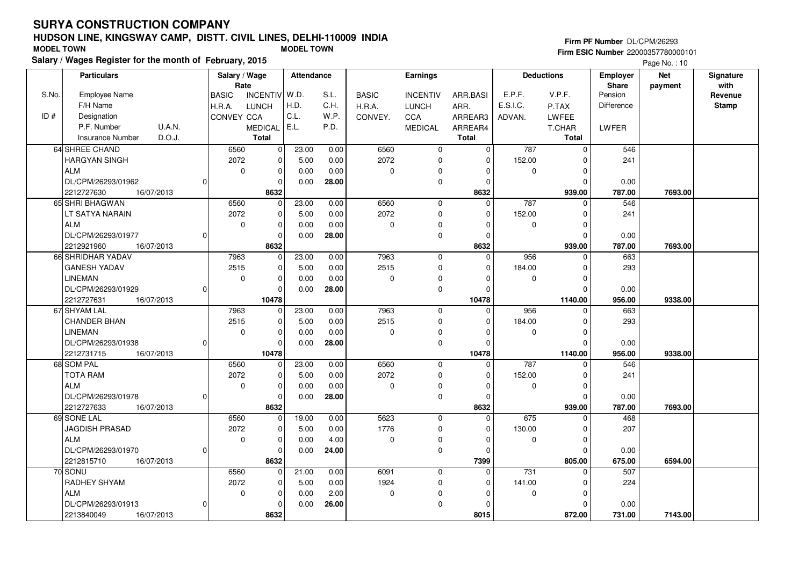# **HUDSON LINE, KINGSWAY CAMP, DISTT. CIVIL LINES, DELHI-110009 INDIA**

| <b>MODEL TOWN</b> |                                                         |        |                   |                | <b>MODEL TOWN</b> |       |              |                 |              |          |                   |                 | Firm ESIC Number 22000357780000101 |           |
|-------------------|---------------------------------------------------------|--------|-------------------|----------------|-------------------|-------|--------------|-----------------|--------------|----------|-------------------|-----------------|------------------------------------|-----------|
|                   | Salary / Wages Register for the month of February, 2015 |        |                   |                |                   |       |              |                 |              |          |                   |                 | Page No.: $10$                     |           |
|                   | <b>Particulars</b>                                      |        |                   | Salary / Wage  | Attendance        |       |              | <b>Earnings</b> |              |          | <b>Deductions</b> | <b>Employer</b> | <b>Net</b>                         | Signature |
|                   |                                                         |        |                   | Rate           |                   |       |              |                 |              |          |                   | <b>Share</b>    | payment                            | with      |
| S.No.             | <b>Employee Name</b>                                    |        | <b>BASIC</b>      | INCENTIV W.D.  |                   | S.L.  | <b>BASIC</b> | <b>INCENTIV</b> | ARR.BASI     | E.P.F.   | V.P.F.            | Pension         |                                    | Revenue   |
|                   | F/H Name                                                |        | H.R.A.            | <b>LUNCH</b>   | H.D.              | C.H.  | H.R.A.       | <b>LUNCH</b>    | ARR.         | E.S.I.C. | P.TAX             | Difference      |                                    | Stamp     |
| ID#               | Designation                                             |        | <b>CONVEY CCA</b> |                | C.L.              | W.P.  | CONVEY.      | <b>CCA</b>      | ARREAR3      | ADVAN.   | <b>LWFEE</b>      |                 |                                    |           |
|                   | P.F. Number                                             | U.A.N. |                   | <b>MEDICAL</b> | E.L.              | P.D.  |              | <b>MEDICAL</b>  | ARREAR4      |          | T.CHAR            | <b>LWFER</b>    |                                    |           |
|                   | Insurance Number                                        | D.O.J. |                   | Total          |                   |       |              |                 | <b>Total</b> |          | <b>Total</b>      |                 |                                    |           |
|                   | 64 SHREE CHAND                                          |        | 6560              | $\Omega$       | 23.00             | 0.00  | 6560         |                 | $\Omega$     | 787      |                   | 546             |                                    |           |
|                   | <b>HARGYAN SINGH</b>                                    |        | 2072              | $\Omega$       | 5.00              | 0.00  | 2072         |                 | $\Omega$     | 152.00   |                   | 241             |                                    |           |
|                   | l ALM                                                   |        |                   | ∩<br>$\Omega$  | 0.00              | 0.00  | $\Omega$     |                 |              | n        |                   |                 |                                    |           |
|                   | DL/CPM/26293/01962                                      |        |                   |                | 0.00              | 28.00 |              |                 |              |          |                   | 0.00            |                                    |           |
|                   | 16/07/2013<br>2212727630                                |        |                   | 8632           |                   |       |              |                 | 8632         |          | 939.00            | 787.00          | 7693.00                            |           |
|                   | 65 SHRI BHAGWAN                                         |        | 6560              | $\Omega$       | 23.00             | 0.00  | 6560         | <sup>n</sup>    | $\Omega$     | 787      |                   | 546             |                                    |           |
|                   | LT SATYA NARAIN                                         |        | 2072              | $\Omega$       | 5.00              | 0.00  | 2072         |                 | $\Omega$     | 152.00   |                   | 241             |                                    |           |
|                   | l ALM                                                   |        |                   | $\Omega$       | 0.00              | 0.00  | $\Omega$     |                 |              | n        |                   |                 |                                    |           |
|                   | DL/CPM/26293/01977                                      |        |                   |                | 0.00              | 28.00 |              |                 |              |          |                   | 0.00            |                                    |           |
|                   | 16/07/2013<br>2212921960                                |        |                   | 8632           |                   |       |              |                 | 8632         |          | 939.00            | 787.00          | 7693.00                            |           |
|                   | 66 SHRIDHAR YADAV                                       |        | 7963              | $\Omega$       | 23.00             | 0.00  | 7963         | <sup>n</sup>    | $\Omega$     | 956      |                   | 663             |                                    |           |
|                   | <b>GANESH YADAV</b>                                     |        | 2515              | $\Omega$       | 5.00              | 0.00  | 2515         |                 | $\Omega$     | 184.00   |                   | 293             |                                    |           |
|                   | <b>LINEMAN</b>                                          |        |                   |                | 0.00              | 0.00  | $\Omega$     |                 |              |          |                   |                 |                                    |           |
|                   | DL/CPM/26293/01929                                      |        |                   |                | 0.00              | 28.00 |              |                 |              |          |                   | 0.00            |                                    |           |
|                   | 2212727631<br>16/07/2013                                |        |                   | 10478          |                   |       |              |                 | 10478        |          | 1140.00           | 956.00          | 9338.00                            |           |
|                   | 67 SHYAM LAL                                            |        | 7963              | U              | 23.00             | 0.00  | 7963         | 0               | $\Omega$     | 956      |                   | 663             |                                    |           |

**Firm PF Number** DL/CPM/26293

 **1140.00 9338.00**

| 66 SHRIDHAR YADAV        | 7963 | 0           | 23.00 | 0.00   | 7963         |       | 956    |         | 663    |
|--------------------------|------|-------------|-------|--------|--------------|-------|--------|---------|--------|
| lGANESH YADAV            | 2515 | 0           | 5.00  | 0.00   | 2515         | 0     | 184.00 |         | 293    |
| <b>LINEMAN</b>           | 0    | 0           | 0.00  | 0.00   |              |       |        |         |        |
| DL/CPM/26293/01929       |      | 0           | 0.00  | 28.00  |              |       |        |         | 0.00   |
| 16/07/2013<br>2212727631 |      | 10478       |       |        |              | 10478 |        | 1140.00 | 956.00 |
| 67 SHYAM LAL             | 7963 | 0           | 23.00 | 0.00   | 7963         |       | 956    |         | 663    |
| CHANDER BHAN             | 2515 | 0           | 5.00  | 0.00   | 2515         | 0     | 184.00 |         | 293    |
| <b>LINEMAN</b>           | 0    | 0           | 0.00  | 0.00   |              |       | 0      |         |        |
| DL/CPM/26293/01938       |      | $\Omega$    | 0.00  | 28.00  |              |       |        |         | 0.00   |
| 16/07/2013<br>2212731715 |      | 10478       |       |        |              | 10478 |        | 1140.00 | 956.00 |
| 68 SOM PAL               | 6560 | 0           | 23.00 | 0.00   | 6560         |       | 787    |         | 546    |
| ITOTA RAM                | 2072 | $\mathbf 0$ | 5.00  | 0.00   | 2072         | 0     | 152.00 |         | 241    |
| I A I M                  |      | $\bigcap$   | n nn  | n nn I | <sup>n</sup> |       |        |         |        |

| <b>TOTA RAM</b>          | 2072     | $\Omega$ | 5.00  | 0.00  | 2072 | 0        | $\Omega$ | 152.00 | 0      | 241    |         |  |
|--------------------------|----------|----------|-------|-------|------|----------|----------|--------|--------|--------|---------|--|
| ALM                      | 0        |          | 0.00  | 0.00  |      | 0        |          |        |        |        |         |  |
| DL/CPM/26293/01978       |          |          | 0.00  | 28.00 |      | 0        |          |        |        | 0.00   |         |  |
| 16/07/2013<br>2212727633 | 8632     |          |       |       |      |          | 8632     |        | 939.00 | 787.00 | 7693.00 |  |
| 69 SONE LAL              | 6560     |          | 19.00 | 0.00  | 5623 | 0        |          | 675    |        | 468    |         |  |
| <b>JAGDISH PRASAD</b>    | 2072     |          | 5.00  | 0.00  | 1776 | 0        |          | 130.00 |        | 207    |         |  |
| ALM                      | $\Omega$ |          | 0.00  | 4.00  |      | 0        |          |        |        |        |         |  |
| DL/CPM/26293/01970       |          |          | 0.00  | 24.00 |      | 0        |          |        |        | 0.00   |         |  |
| 16/07/2013<br>2212815710 | 8632     |          |       |       |      |          | 7399     |        | 805.00 | 675.00 | 6594.00 |  |
| 70 SONU                  | 6560     |          | 21.00 | 0.00  | 6091 | 0        |          | 731    |        | 507    |         |  |
| I RADHEY SHYAM           | 2072     |          | 5.00  | 0.00  | 1924 | 0        |          | 141.00 |        | 224    |         |  |
| <b>ALM</b>               | $\Omega$ |          | 0.00  | 2.00  |      | $\Omega$ |          |        |        |        |         |  |
| DL/CPM/26293/01913       |          |          | 0.00  | 26.00 |      | 0        |          |        |        | 0.00   |         |  |
| 16/07/2013<br>2213840049 |          | 8632     |       |       |      |          | 8015     |        | 872.00 | 731.00 | 7143.00 |  |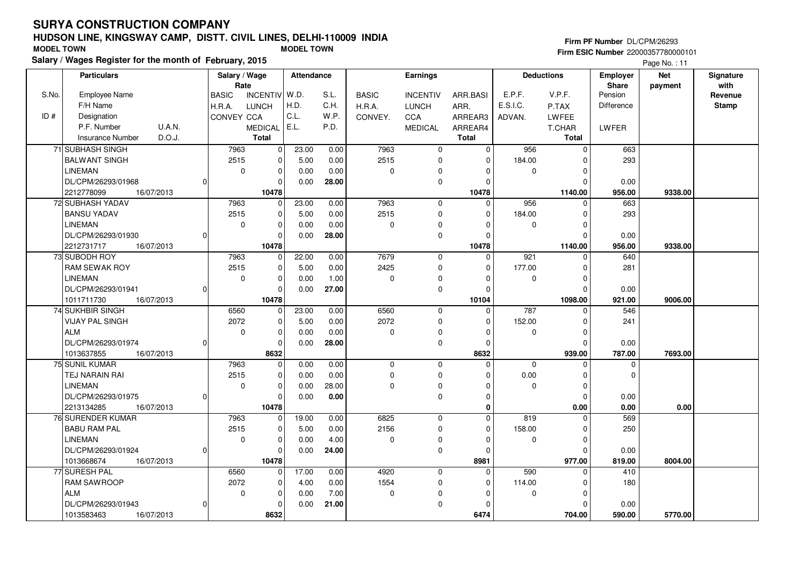# **HUDSON LINE, KINGSWAY CAMP, DISTT. CIVIL LINES, DELHI-110009 INDIA**

| <b>MODEL TOWN</b> |                                                         |               |              | <b>MODEL TOWN</b> |            |              |              |                 | Firm PF Number DL/CPM/26293<br><b>Firm ESIC Number 22000357780000101</b> |          |                   |                   |            |           |  |
|-------------------|---------------------------------------------------------|---------------|--------------|-------------------|------------|--------------|--------------|-----------------|--------------------------------------------------------------------------|----------|-------------------|-------------------|------------|-----------|--|
|                   | Salary / Wages Register for the month of February, 2015 |               |              |                   |            | Page No.: 11 |              |                 |                                                                          |          |                   |                   |            |           |  |
|                   | <b>Particulars</b>                                      |               |              | Salary / Wage     | Attendance |              |              | Earnings        |                                                                          |          | <b>Deductions</b> | Employer          | <b>Net</b> | Signature |  |
|                   |                                                         |               |              | Rate              |            |              |              |                 |                                                                          |          |                   | Share             | payment    | with      |  |
| S.No.             | <b>Employee Name</b>                                    |               | <b>BASIC</b> | INCENTIV W.D.     |            | S.L.         | <b>BASIC</b> | <b>INCENTIV</b> | ARR.BASI                                                                 | E.P.F.   | V.P.F.            | Pension           |            | Revenue   |  |
|                   | F/H Name                                                |               | H.R.A.       | <b>LUNCH</b>      | H.D.       | C.H.         | H.R.A.       | <b>LUNCH</b>    | ARR.                                                                     | E.S.I.C. | P.TAX             | <b>Difference</b> |            | Stamp     |  |
| ID#               | Designation                                             |               | CONVEY CCA   |                   | C.L.       | W.P.         | CONVEY.      | <b>CCA</b>      | ARREAR3                                                                  | ADVAN.   | LWFEE             |                   |            |           |  |
|                   | P.F. Number                                             | <b>U.A.N.</b> |              | <b>MEDICAL</b>    | I E.L.     | P.D.         |              | <b>MEDICAL</b>  | ARREAR4                                                                  |          | T.CHAR            | LWFER             |            |           |  |
|                   | Insurance Number                                        | D.O.J.        |              | Total             |            |              |              |                 | Total                                                                    |          | Total             |                   |            |           |  |
|                   | 71 SUBHASH SINGH                                        |               | 7963         |                   | 23.00      | 0.00         | 7963         | 0               |                                                                          | 956      |                   | 663               |            |           |  |
|                   | IBALWANT SINGH                                          |               | 2515         |                   | 5.00       | 0.00         | 2515         | $\Omega$        |                                                                          | 184.00   |                   | 293               |            |           |  |
|                   | <b>LINEMAN</b>                                          |               |              | 0                 | 0.00       | 0.00         | $\Omega$     | $\Omega$        |                                                                          | $\Omega$ |                   |                   |            |           |  |
|                   | DL/CPM/26293/01968                                      |               |              |                   | 0.00       | 28.00        |              |                 |                                                                          |          |                   | 0.00              |            |           |  |

| 71 SUBHASH SINGH         |          | 7963        | 0           | 23.00 | 0.00  | 7963        | $\mathbf 0$  | $\mathbf 0$ | 956         | $\mathbf{0}$ | 663      |         |  |
|--------------------------|----------|-------------|-------------|-------|-------|-------------|--------------|-------------|-------------|--------------|----------|---------|--|
| <b>BALWANT SINGH</b>     |          | 2515        | 0           | 5.00  | 0.00  | 2515        | $\Omega$     | $\mathbf 0$ | 184.00      | 0            | 293      |         |  |
| LINEMAN                  |          | $\Omega$    | $\Omega$    | 0.00  | 0.00  | $\Omega$    | $\Omega$     | $\Omega$    | $\Omega$    | $\Omega$     |          |         |  |
| DL/CPM/26293/01968       | $\Omega$ |             | 0           | 0.00  | 28.00 |             | 0            | $\Omega$    |             | $\Omega$     | 0.00     |         |  |
| 2212778099<br>16/07/2013 |          |             | 10478       |       |       |             |              | 10478       |             | 1140.00      | 956.00   | 9338.00 |  |
| 72 SUBHASH YADAV         |          | 7963        | 0           | 23.00 | 0.00  | 7963        | $\mathbf 0$  | $\mathbf 0$ | 956         | 0            | 663      |         |  |
| <b>BANSU YADAV</b>       |          | 2515        | 0           | 5.00  | 0.00  | 2515        | $\mathbf 0$  | $\mathbf 0$ | 184.00      | $\Omega$     | 293      |         |  |
| LINEMAN                  |          | 0           | 0           | 0.00  | 0.00  | $\mathbf 0$ | 0            | $\mathbf 0$ | $\Omega$    | 0            |          |         |  |
| DL/CPM/26293/01930       | $\Omega$ |             | 0           | 0.00  | 28.00 |             | $\mathbf 0$  | $\Omega$    |             | $\Omega$     | 0.00     |         |  |
| 2212731717<br>16/07/2013 |          |             | 10478       |       |       |             |              | 10478       |             | 1140.00      | 956.00   | 9338.00 |  |
| 73 SUBODH ROY            |          | 7963        | 0           | 22.00 | 0.00  | 7679        | $\mathbf 0$  | $\mathbf 0$ | 921         | $\Omega$     | 640      |         |  |
| <b>RAM SEWAK ROY</b>     |          | 2515        | $\Omega$    | 5.00  | 0.00  | 2425        | 0            | $\mathbf 0$ | 177.00      | $\Omega$     | 281      |         |  |
| <b>LINEMAN</b>           |          | 0           | 0           | 0.00  | 1.00  | $\Omega$    | 0            | $\mathbf 0$ | $\Omega$    | 0            |          |         |  |
| DL/CPM/26293/01941       | $\Omega$ |             | 0           | 0.00  | 27.00 |             | $\mathbf 0$  | $\Omega$    |             | $\Omega$     | 0.00     |         |  |
| 1011711730<br>16/07/2013 |          |             | 10478       |       |       |             |              | 10104       |             | 1098.00      | 921.00   | 9006.00 |  |
| 74 SUKHBIR SINGH         |          | 6560        | $\Omega$    | 23.00 | 0.00  | 6560        | $\mathbf{0}$ | 0           | 787         | $\Omega$     | 546      |         |  |
| <b>VIJAY PAL SINGH</b>   |          | 2072        | 0           | 5.00  | 0.00  | 2072        | $\mathbf 0$  | 0           | 152.00      | n            | 241      |         |  |
| l ALM                    |          | 0           | 0           | 0.00  | 0.00  | $\mathbf 0$ | $\mathbf 0$  | $\mathbf 0$ | $\mathbf 0$ | $\mathbf 0$  |          |         |  |
| DL/CPM/26293/01974       | 0l       |             | $\Omega$    | 0.00  | 28.00 |             | $\mathbf 0$  | $\mathbf 0$ |             | $\Omega$     | 0.00     |         |  |
| 1013637855<br>16/07/2013 |          |             | 8632        |       |       |             |              | 8632        |             | 939.00       | 787.00   | 7693.00 |  |
| 75 SUNIL KUMAR           |          | 7963        | $\Omega$    | 0.00  | 0.00  | $\mathbf 0$ | 0            | 0           | $\Omega$    | $\Omega$     | $\Omega$ |         |  |
| TEJ NARAIN RAI           |          | 2515        | 0           | 0.00  | 0.00  | $\Omega$    | $\Omega$     | $\Omega$    | 0.00        | 0            | $\Omega$ |         |  |
| <b>LINEMAN</b>           |          | $\mathbf 0$ | $\Omega$    | 0.00  | 28.00 | $\Omega$    | $\mathbf 0$  | $\Omega$    | $\Omega$    | 0            |          |         |  |
| DL/CPM/26293/01975       | 01       |             | ŋ           | 0.00  | 0.00  |             | 0            | 0           |             | $\Omega$     | 0.00     |         |  |
| 16/07/2013<br>2213134285 |          |             | 10478       |       |       |             |              | 0           |             | 0.00         | 0.00     | 0.00    |  |
| 76 SURENDER KUMAR        |          | 7963        | $\Omega$    | 19.00 | 0.00  | 6825        | $\mathbf 0$  | $\mathbf 0$ | 819         | $\Omega$     | 569      |         |  |
| <b>BABU RAM PAL</b>      |          | 2515        | 0           | 5.00  | 0.00  | 2156        | $\mathbf 0$  | $\mathbf 0$ | 158.00      | $\Omega$     | 250      |         |  |
| LINEMAN                  |          | $\mathbf 0$ | $\Omega$    | 0.00  | 4.00  | $\Omega$    | $\Omega$     | $\Omega$    | $\Omega$    | 0            |          |         |  |
| DL/CPM/26293/01924       | 0l       |             | $\Omega$    | 0.00  | 24.00 |             | $\mathbf 0$  | $\Omega$    |             | $\Omega$     | 0.00     |         |  |
| 1013668674<br>16/07/2013 |          |             | 10478       |       |       |             |              | 8981        |             | 977.00       | 819.00   | 8004.00 |  |
| 77 SURESH PAL            |          | 6560        | $\mathbf 0$ | 17.00 | 0.00  | 4920        | $\mathbf 0$  | 0           | 590         | $\Omega$     | 410      |         |  |
| <b>RAM SAWROOP</b>       |          | 2072        | 0           | 4.00  | 0.00  | 1554        | $\Omega$     | 0           | 114.00      | $\Omega$     | 180      |         |  |
| l ALM                    |          | $\mathbf 0$ | 0           | 0.00  | 7.00  | $\Omega$    | $\mathbf 0$  | $\mathbf 0$ | $\Omega$    | $\mathbf 0$  |          |         |  |
| DL/CPM/26293/01943       | 0        |             | $\Omega$    | 0.00  | 21.00 |             | $\mathbf 0$  | $\Omega$    |             | $\Omega$     | 0.00     |         |  |
| 1013583463<br>16/07/2013 |          |             | 8632        |       |       |             |              | 6474        |             | 704.00       | 590.00   | 5770.00 |  |

#### **Firm PF Number** DL/CPM/26293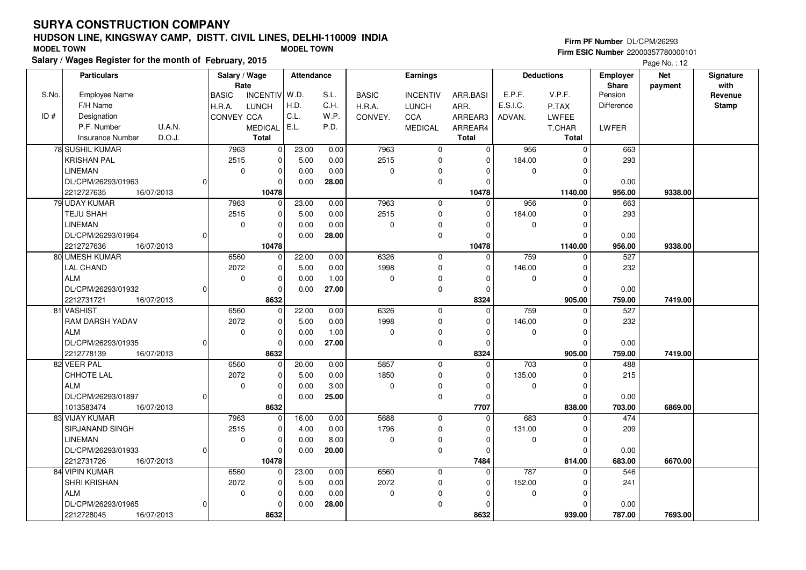## **HUDSON LINE, KINGSWAY CAMP, DISTT. CIVIL LINES, DELHI-110009 INDIASalary / Wages Register for the month of February, 2015 MODEL TOWN MODEL TOWN**

#### **Firm PF Number** DL/CPM/26293

|       | Salary / Wages Register for the month of February, 2015 |                                       |                         |       |              |                 |                |                   |              | Page No.: 12            |            |                 |  |
|-------|---------------------------------------------------------|---------------------------------------|-------------------------|-------|--------------|-----------------|----------------|-------------------|--------------|-------------------------|------------|-----------------|--|
|       | <b>Particulars</b>                                      | Salary / Wage                         | <b>Attendance</b>       |       | Earnings     |                 |                | <b>Deductions</b> |              | <b>Employer</b>         | <b>Net</b> | Signature       |  |
| S.No. | <b>Employee Name</b>                                    | Rate<br>INCENTIV W.D.<br><b>BASIC</b> |                         | S.L.  | <b>BASIC</b> | <b>INCENTIV</b> | ARR.BASI       | E.P.F.            | V.P.F.       | <b>Share</b><br>Pension | payment    | with<br>Revenue |  |
|       | F/H Name                                                | H.R.A.<br><b>LUNCH</b>                | H.D.                    | C.H.  | H.R.A.       | <b>LUNCH</b>    | ARR.           | E.S.I.C.          | P.TAX        | Difference              |            | <b>Stamp</b>    |  |
| ID#   | Designation                                             | CONVEY CCA                            | C.L.                    | W.P.  | CONVEY.      | <b>CCA</b>      | ARREAR3        | ADVAN.            | <b>LWFEE</b> |                         |            |                 |  |
|       | U.A.N.<br>P.F. Number                                   | <b>MEDICAL</b>                        | E.L.                    | P.D.  |              | <b>MEDICAL</b>  | ARREAR4        |                   | T.CHAR       | LWFER                   |            |                 |  |
|       | D.O.J.<br><b>Insurance Number</b>                       | <b>Total</b>                          |                         |       |              |                 | <b>Total</b>   |                   | <b>Total</b> |                         |            |                 |  |
|       | 78 SUSHIL KUMAR                                         | 7963                                  | $\overline{0}$<br>23.00 | 0.00  | 7963         | $\pmb{0}$       | $\overline{0}$ | 956               | $\mathbf 0$  | 663                     |            |                 |  |
|       | <b>KRISHAN PAL</b>                                      | 2515                                  | $\pmb{0}$<br>5.00       | 0.00  | 2515         | $\mathbf 0$     | $\Omega$       | 184.00            | $\Omega$     | 293                     |            |                 |  |
|       | LINEMAN                                                 | $\mathbf 0$                           | $\mathbf 0$<br>0.00     | 0.00  | 0            | 0               | $\Omega$       | 0                 | $\mathbf 0$  |                         |            |                 |  |
|       | DL/CPM/26293/01963                                      | $\Omega$                              | 0.00<br>$\mathbf 0$     | 28.00 |              | $\pmb{0}$       | $\Omega$       |                   | $\Omega$     | 0.00                    |            |                 |  |
|       | 2212727635<br>16/07/2013                                | 10478                                 |                         |       |              |                 | 10478          |                   | 1140.00      | 956.00                  | 9338.00    |                 |  |
|       | 79 UDAY KUMAR                                           | 7963                                  | 23.00<br>$\mathbf 0$    | 0.00  | 7963         | $\mathbf 0$     | 0              | 956               | $\Omega$     | 663                     |            |                 |  |
|       | TEJU SHAH                                               | 2515                                  | $\pmb{0}$<br>5.00       | 0.00  | 2515         | $\mathbf 0$     | $\Omega$       | 184.00            | $\mathbf 0$  | 293                     |            |                 |  |
|       | <b>LINEMAN</b>                                          | $\mathbf 0$                           | $\mathbf 0$<br>0.00     | 0.00  | 0            | 0               | $\Omega$       | 0                 | $\Omega$     |                         |            |                 |  |
|       | DL/CPM/26293/01964<br>O                                 |                                       | $\Omega$<br>0.00        | 28.00 |              | $\pmb{0}$       | $\Omega$       |                   | $\mathbf 0$  | 0.00                    |            |                 |  |
|       | 2212727636<br>16/07/2013                                | 10478                                 |                         |       |              |                 | 10478          |                   | 1140.00      | 956.00                  | 9338.00    |                 |  |
|       | 80 UMESH KUMAR                                          | 6560                                  | $\mathbf 0$<br>22.00    | 0.00  | 6326         | $\mathbf 0$     | $\mathbf 0$    | 759               | $\mathbf 0$  | 527                     |            |                 |  |
|       | <b>LAL CHAND</b>                                        | 2072                                  | $\mathbf 0$<br>5.00     | 0.00  | 1998         | $\mathbf 0$     | $\Omega$       | 146.00            | $\Omega$     | 232                     |            |                 |  |
|       | <b>ALM</b>                                              | $\mathbf 0$                           | $\pmb{0}$<br>0.00       | 1.00  | 0            | $\pmb{0}$       | $\Omega$       | 0                 | $\Omega$     |                         |            |                 |  |
|       | DL/CPM/26293/01932<br>$\Omega$                          |                                       | $\mathbf 0$<br>0.00     | 27.00 |              | $\mathbf 0$     | $\Omega$       |                   | $\Omega$     | 0.00                    |            |                 |  |
|       | 2212731721<br>16/07/2013                                | 8632                                  |                         |       |              |                 | 8324           |                   | 905.00       | 759.00                  | 7419.00    |                 |  |
|       | 81 VASHIST                                              | 6560                                  | 22.00<br>0              | 0.00  | 6326         | $\mathbf 0$     | $\Omega$       | 759               | $\Omega$     | 527                     |            |                 |  |
|       | RAM DARSH YADAV                                         | 2072                                  | $\pmb{0}$<br>5.00       | 0.00  | 1998         | $\mathbf 0$     | $\Omega$       | 146.00            | $\Omega$     | 232                     |            |                 |  |
|       | <b>ALM</b>                                              | $\mathbf 0$                           | $\mathbf 0$<br>0.00     | 1.00  | 0            | 0               | $\Omega$       | 0                 | $\mathbf 0$  |                         |            |                 |  |
|       | DL/CPM/26293/01935                                      | $\Omega$                              | $\Omega$<br>0.00        | 27.00 |              | $\mathbf 0$     | 0              |                   | $\Omega$     | 0.00                    |            |                 |  |
|       | 2212778139<br>16/07/2013                                | 8632                                  |                         |       |              |                 | 8324           |                   | 905.00       | 759.00                  | 7419.00    |                 |  |
|       | 82 VEER PAL                                             | 6560                                  | $\mathbf 0$<br>20.00    | 0.00  | 5857         | $\mathbf 0$     | 0              | 703               | $\Omega$     | 488                     |            |                 |  |
|       | <b>CHHOTE LAL</b>                                       | 2072                                  | $\pmb{0}$<br>5.00       | 0.00  | 1850         | $\mathbf 0$     | $\Omega$       | 135.00            | $\mathbf 0$  | 215                     |            |                 |  |
|       | <b>ALM</b>                                              | $\mathbf 0$                           | $\mathbf 0$<br>0.00     | 3.00  | 0            | 0               | $\Omega$       | 0                 | $\Omega$     |                         |            |                 |  |
|       | DL/CPM/26293/01897<br>$\Omega$                          |                                       | $\Omega$<br>0.00        | 25.00 |              | $\pmb{0}$       | $\Omega$       |                   | $\Omega$     | 0.00                    |            |                 |  |
|       | 1013583474<br>16/07/2013                                | 8632                                  |                         |       |              |                 | 7707           |                   | 838.00       | 703.00                  | 6869.00    |                 |  |
|       | 83 VIJAY KUMAR                                          | 7963                                  | 16.00<br>0              | 0.00  | 5688         | $\mathbf 0$     | 0              | 683               | 0            | 474                     |            |                 |  |
|       | SIRJANAND SINGH                                         | 2515                                  | $\mathbf 0$<br>4.00     | 0.00  | 1796         | $\mathbf 0$     | $\Omega$       | 131.00            | $\Omega$     | 209                     |            |                 |  |
|       | <b>LINEMAN</b>                                          | $\mathbf 0$                           | $\mathbf 0$<br>0.00     | 8.00  | 0            | $\pmb{0}$       | $\Omega$       | 0                 | $\Omega$     |                         |            |                 |  |
|       | DL/CPM/26293/01933                                      | $\Omega$                              | $\mathbf 0$<br>0.00     | 20.00 |              | $\mathbf 0$     | $\Omega$       |                   | $\Omega$     | 0.00                    |            |                 |  |
|       | 2212731726<br>16/07/2013                                | 10478                                 |                         |       |              |                 | 7484           |                   | 814.00       | 683.00                  | 6670.00    |                 |  |
|       | 84 VIPIN KUMAR                                          | 6560                                  | 23.00<br>0              | 0.00  | 6560         | $\mathbf 0$     | $\Omega$       | 787               | $\Omega$     | 546                     |            |                 |  |
|       | SHRI KRISHAN                                            | 2072                                  | 0<br>5.00               | 0.00  | 2072         | $\mathbf 0$     | $\Omega$       | 152.00            | $\Omega$     | 241                     |            |                 |  |
|       | <b>ALM</b>                                              | $\mathbf 0$                           | $\pmb{0}$<br>0.00       | 0.00  | 0            | 0               | $\Omega$       | 0                 | $\Omega$     |                         |            |                 |  |
|       | DL/CPM/26293/01965                                      | $\Omega$                              | $\Omega$<br>0.00        | 28.00 |              | $\pmb{0}$       |                |                   | $\Omega$     | 0.00                    |            |                 |  |
|       | 2212728045<br>16/07/2013                                | 8632                                  |                         |       |              |                 | 8632           |                   | 939.00       | 787.00                  | 7693.00    |                 |  |